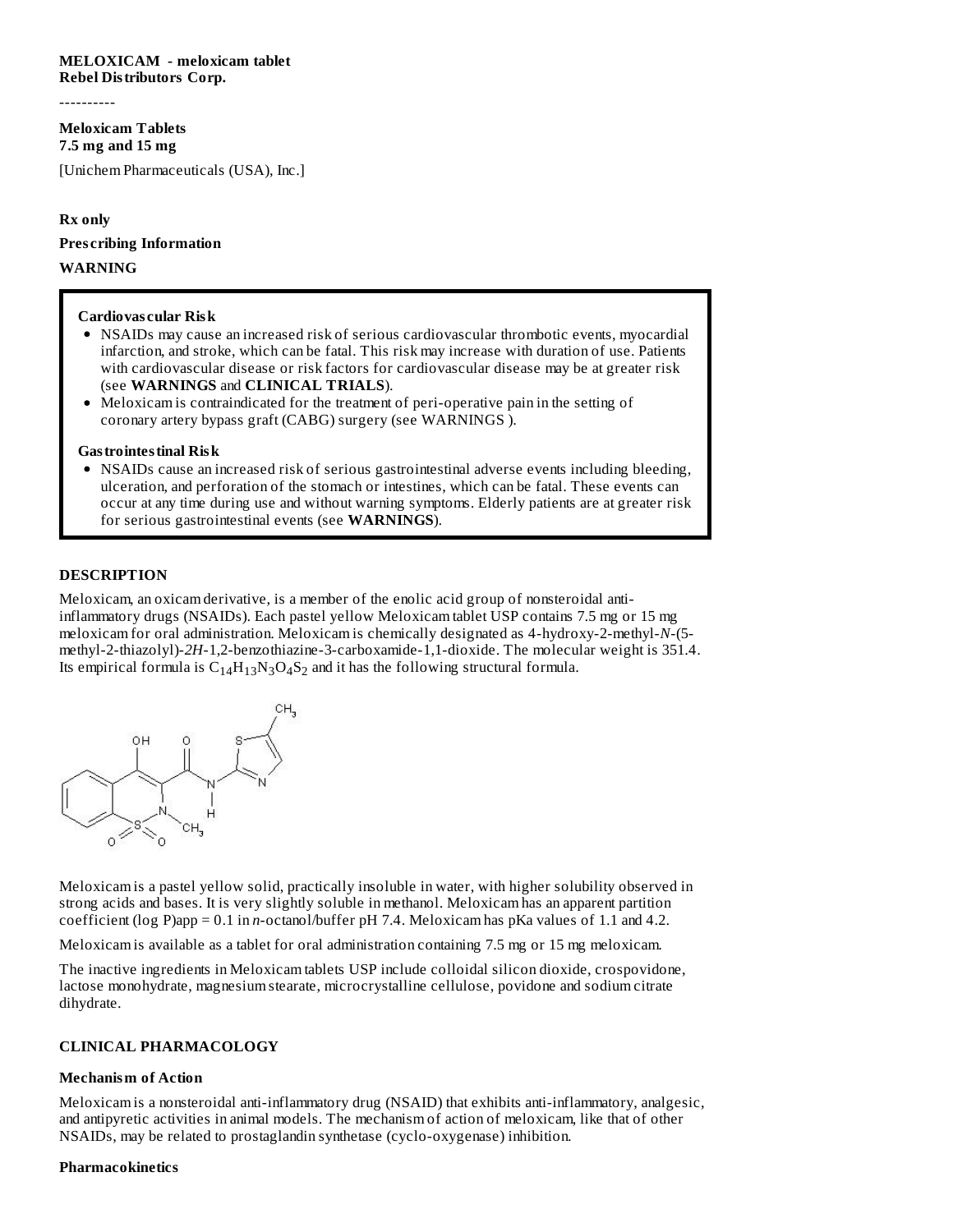#### **MELOXICAM - meloxicam tablet Rebel Distributors Corp.**

----------

### **Meloxicam Tablets 7.5 mg and 15 mg**

[Unichem Pharmaceuticals (USA), Inc.]

## **Rx only**

**Pres cribing Information**

**WARNING**

## **Cardiovas cular Risk**

- NSAIDs may cause an increased risk of serious cardiovascular thrombotic events, myocardial infarction, and stroke, which can be fatal. This risk may increase with duration of use. Patients with cardiovascular disease or risk factors for cardiovascular disease may be at greater risk (see **WARNINGS** and **CLINICAL TRIALS**).
- Meloxicam is contraindicated for the treatment of peri-operative pain in the setting of coronary artery bypass graft (CABG) surgery (see WARNINGS ).

## **Gastrointestinal Risk**

NSAIDs cause an increased risk of serious gastrointestinal adverse events including bleeding, ulceration, and perforation of the stomach or intestines, which can be fatal. These events can occur at any time during use and without warning symptoms. Elderly patients are at greater risk for serious gastrointestinal events (see **WARNINGS**).

# **DESCRIPTION**

Meloxicam, an oxicam derivative, is a member of the enolic acid group of nonsteroidal antiinflammatory drugs (NSAIDs). Each pastel yellow Meloxicam tablet USP contains 7.5 mg or 15 mg meloxicam for oral administration. Meloxicam is chemically designated as 4-hydroxy-2-methyl-*N*-(5 methyl-2-thiazolyl)-*2H*-1,2-benzothiazine-3-carboxamide-1,1-dioxide. The molecular weight is 351.4. Its empirical formula is  $C_{14}H_{13}N_3O_4S_2$  and it has the following structural formula.



Meloxicam is a pastel yellow solid, practically insoluble in water, with higher solubility observed in strong acids and bases. It is very slightly soluble in methanol. Meloxicam has an apparent partition coefficient (log P)app = 0.1 in *n*-octanol/buffer pH 7.4. Meloxicam has pKa values of 1.1 and 4.2.

Meloxicam is available as a tablet for oral administration containing 7.5 mg or 15 mg meloxicam.

The inactive ingredients in Meloxicam tablets USP include colloidal silicon dioxide, crospovidone, lactose monohydrate, magnesium stearate, microcrystalline cellulose, povidone and sodium citrate dihydrate.

### **CLINICAL PHARMACOLOGY**

### **Mechanism of Action**

Meloxicam is a nonsteroidal anti-inflammatory drug (NSAID) that exhibits anti-inflammatory, analgesic, and antipyretic activities in animal models. The mechanism of action of meloxicam, like that of other NSAIDs, may be related to prostaglandin synthetase (cyclo-oxygenase) inhibition.

### **Pharmacokinetics**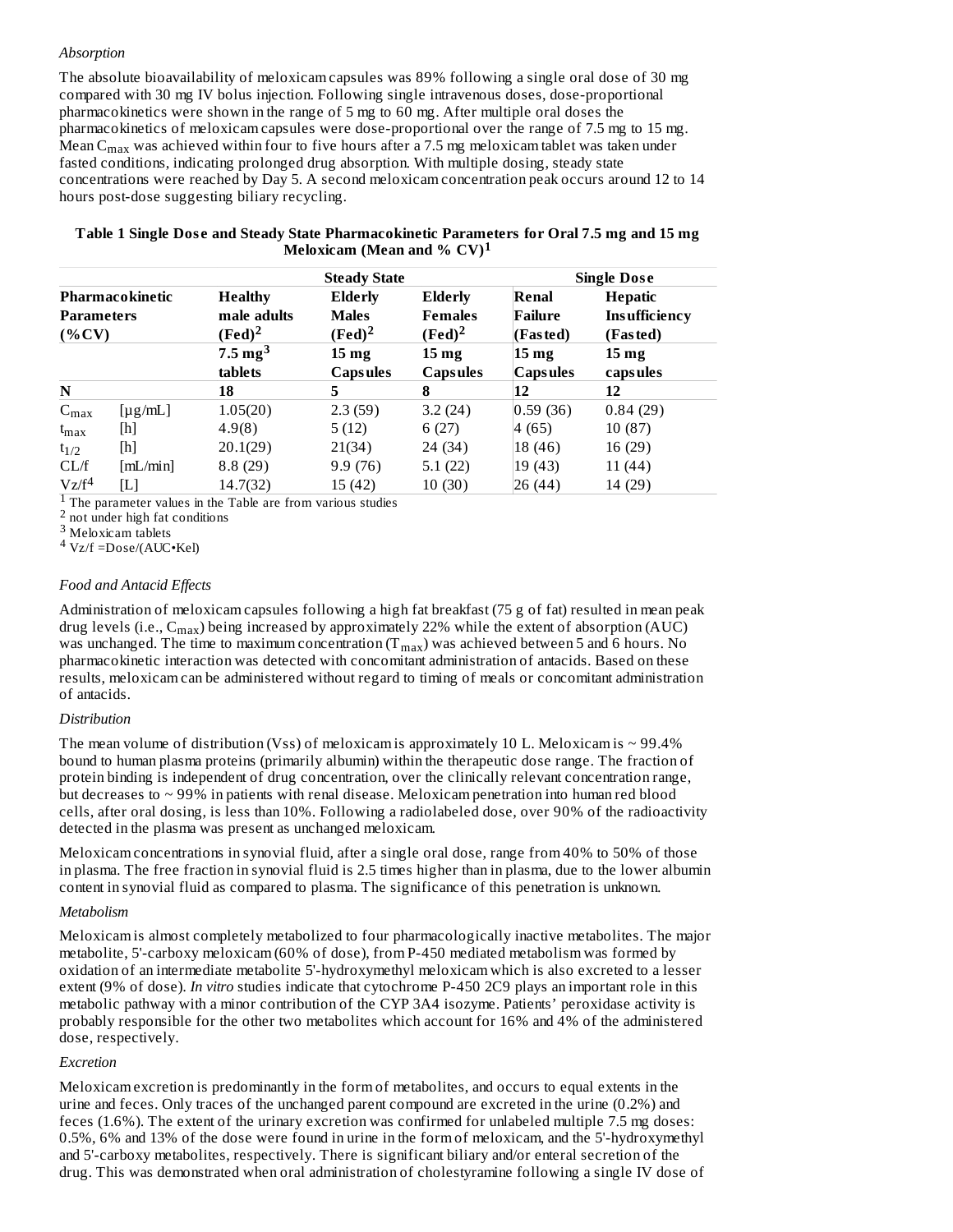# *Absorption*

The absolute bioavailability of meloxicam capsules was 89% following a single oral dose of 30 mg compared with 30 mg IV bolus injection. Following single intravenous doses, dose-proportional pharmacokinetics were shown in the range of 5 mg to 60 mg. After multiple oral doses the pharmacokinetics of meloxicam capsules were dose-proportional over the range of 7.5 mg to 15 mg. Mean C $_{\rm max}$  was achieved within four to five hours after a 7.5 mg meloxicam tablet was taken under fasted conditions, indicating prolonged drug absorption. With multiple dosing, steady state concentrations were reached by Day 5. A second meloxicam concentration peak occurs around 12 to 14 hours post-dose suggesting biliary recycling.

| Table 1 Single Dose and Steady State Pharmacokinetic Parameters for Oral 7.5 mg and 15 mg |
|-------------------------------------------------------------------------------------------|
| Meloxicam (Mean and % $CV$ ) <sup>1</sup>                                                 |

|                                                  | <b>Steady State</b><br><b>Single Dose</b> |                                                   |                                               |                                        |                              |                                       |
|--------------------------------------------------|-------------------------------------------|---------------------------------------------------|-----------------------------------------------|----------------------------------------|------------------------------|---------------------------------------|
| Pharmacokinetic<br><b>Parameters</b><br>$($ %CV) |                                           | <b>Healthy</b><br>male adults<br>$(\text{Fed})^2$ | Elderly<br><b>Males</b><br>(Fed) <sup>2</sup> | Elderly<br><b>Females</b><br>$(Fed)^2$ | Renal<br>Failure<br>(Fasted) | Hepatic<br>Insufficiency<br>(Fas ted) |
|                                                  |                                           | $7.5 \text{ mg}^3$                                | 15 <sub>mg</sub>                              | 15 <sub>mg</sub>                       | 15 <sub>mg</sub>             | $15 \text{ mg}$                       |
|                                                  |                                           | tablets                                           | Capsules                                      | Capsules                               | Capsules                     | capsules                              |
| N                                                |                                           | 18                                                | 5.                                            | 8                                      | 12                           | 12                                    |
| $C_{max}$                                        | $[\mu$ g/mL]                              | 1.05(20)                                          | 2.3(59)                                       | 3.2(24)                                | 0.59(36)                     | 0.84(29)                              |
| $t_{\rm max}$                                    | [h]                                       | 4.9(8)                                            | 5(12)                                         | 6(27)                                  | 4(65)                        | 10(87)                                |
| $t_{1/2}$                                        | [h]                                       | 20.1(29)                                          | 21(34)                                        | 24 (34)                                | 18 (46)                      | 16 (29)                               |
| CL/f                                             | [mL/min]                                  | 8.8(29)                                           | 9.9(76)                                       | 5.1(22)                                | 19 (43)                      | 11 (44)                               |
| Vz/f <sup>4</sup>                                | $\left[ \mathrm{L}\right]$                | 14.7(32)                                          | 15 (42)                                       | 10(30)                                 | 26(44)                       | 14 (29)                               |

 $1$  The parameter values in the Table are from various studies

 $2$  not under high fat conditions

<sup>3</sup> Meloxicam tablets

 $4$  Vz/f =Dose/(AUC $\cdot$ Kel)

## *Food and Antacid Effects*

Administration of meloxicam capsules following a high fat breakfast (75 g of fat) resulted in mean peak drug levels (i.e.,  $\rm{C_{max}}$ ) being increased by approximately 22% while the extent of absorption (AUC) was unchanged. The time to maximum concentration (T $_{\rm max}$ ) was achieved between 5 and 6 hours. No pharmacokinetic interaction was detected with concomitant administration of antacids. Based on these results, meloxicam can be administered without regard to timing of meals or concomitant administration of antacids.

### *Distribution*

The mean volume of distribution (Vss) of meloxicam is approximately 10 L. Meloxicam is  $\sim$  99.4% bound to human plasma proteins (primarily albumin) within the therapeutic dose range. The fraction of protein binding is independent of drug concentration, over the clinically relevant concentration range, but decreases to ~ 99% in patients with renal disease. Meloxicam penetration into human red blood cells, after oral dosing, is less than 10%. Following a radiolabeled dose, over 90% of the radioactivity detected in the plasma was present as unchanged meloxicam.

Meloxicam concentrations in synovial fluid, after a single oral dose, range from 40% to 50% of those in plasma. The free fraction in synovial fluid is 2.5 times higher than in plasma, due to the lower albumin content in synovial fluid as compared to plasma. The significance of this penetration is unknown.

# *Metabolism*

Meloxicam is almost completely metabolized to four pharmacologically inactive metabolites. The major metabolite, 5'-carboxy meloxicam (60% of dose), from P-450 mediated metabolism was formed by oxidation of an intermediate metabolite 5'-hydroxymethyl meloxicam which is also excreted to a lesser extent (9% of dose). *In vitro* studies indicate that cytochrome P-450 2C9 plays an important role in this metabolic pathway with a minor contribution of the CYP 3A4 isozyme. Patients' peroxidase activity is probably responsible for the other two metabolites which account for 16% and 4% of the administered dose, respectively.

# *Excretion*

Meloxicam excretion is predominantly in the form of metabolites, and occurs to equal extents in the urine and feces. Only traces of the unchanged parent compound are excreted in the urine (0.2%) and feces (1.6%). The extent of the urinary excretion was confirmed for unlabeled multiple 7.5 mg doses: 0.5%, 6% and 13% of the dose were found in urine in the form of meloxicam, and the 5'-hydroxymethyl and 5'-carboxy metabolites, respectively. There is significant biliary and/or enteral secretion of the drug. This was demonstrated when oral administration of cholestyramine following a single IV dose of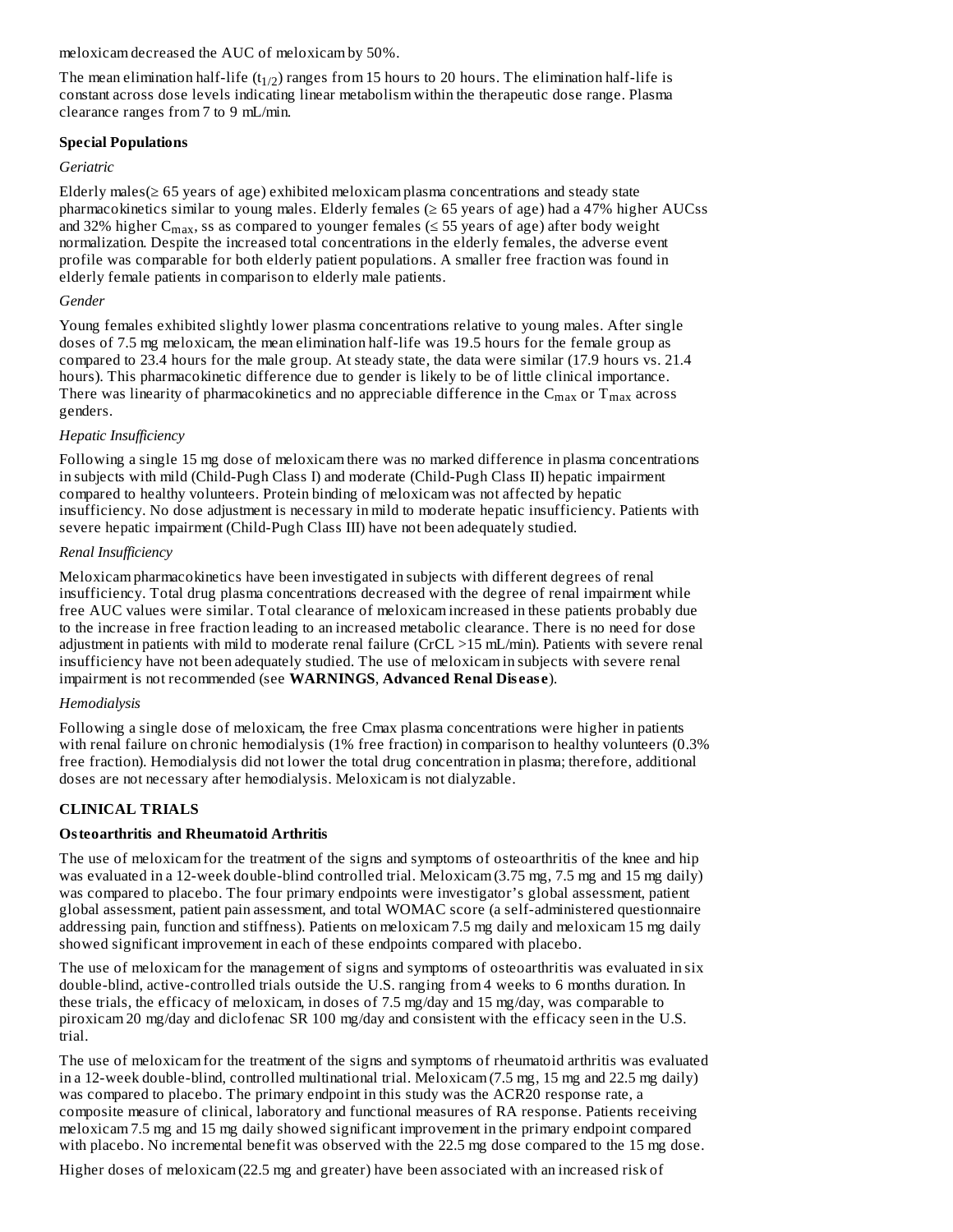meloxicam decreased the AUC of meloxicam by 50%.

The mean elimination half-life  $(t_{1/2})$  ranges from 15 hours to 20 hours. The elimination half-life is constant across dose levels indicating linear metabolism within the therapeutic dose range. Plasma clearance ranges from 7 to 9 mL/min.

### **Special Populations**

### *Geriatric*

Elderly males(≥ 65 years of age) exhibited meloxicam plasma concentrations and steady state pharmacokinetics similar to young males. Elderly females ( $\geq 65$  years of age) had a 47% higher AUCss and 32% higher C $_{\rm max}$ , ss as compared to younger females ( $\leq$  55 years of age) after body weight normalization. Despite the increased total concentrations in the elderly females, the adverse event profile was comparable for both elderly patient populations. A smaller free fraction was found in elderly female patients in comparison to elderly male patients.

## *Gender*

Young females exhibited slightly lower plasma concentrations relative to young males. After single doses of 7.5 mg meloxicam, the mean elimination half-life was 19.5 hours for the female group as compared to 23.4 hours for the male group. At steady state, the data were similar (17.9 hours vs. 21.4 hours). This pharmacokinetic difference due to gender is likely to be of little clinical importance. There was linearity of pharmacokinetics and no appreciable difference in the  $\rm C_{max}$  or  $\rm T_{max}$  across genders.

## *Hepatic Insufficiency*

Following a single 15 mg dose of meloxicam there was no marked difference in plasma concentrations in subjects with mild (Child-Pugh Class I) and moderate (Child-Pugh Class II) hepatic impairment compared to healthy volunteers. Protein binding of meloxicam was not affected by hepatic insufficiency. No dose adjustment is necessary in mild to moderate hepatic insufficiency. Patients with severe hepatic impairment (Child-Pugh Class III) have not been adequately studied.

## *Renal Insufficiency*

Meloxicam pharmacokinetics have been investigated in subjects with different degrees of renal insufficiency. Total drug plasma concentrations decreased with the degree of renal impairment while free AUC values were similar. Total clearance of meloxicam increased in these patients probably due to the increase in free fraction leading to an increased metabolic clearance. There is no need for dose adjustment in patients with mild to moderate renal failure (CrCL >15 mL/min). Patients with severe renal insufficiency have not been adequately studied. The use of meloxicam in subjects with severe renal impairment is not recommended (see **WARNINGS**, **Advanced Renal Dis eas e**).

# *Hemodialysis*

Following a single dose of meloxicam, the free Cmax plasma concentrations were higher in patients with renal failure on chronic hemodialysis (1% free fraction) in comparison to healthy volunteers (0.3% free fraction). Hemodialysis did not lower the total drug concentration in plasma; therefore, additional doses are not necessary after hemodialysis. Meloxicam is not dialyzable.

# **CLINICAL TRIALS**

# **Osteoarthritis and Rheumatoid Arthritis**

The use of meloxicam for the treatment of the signs and symptoms of osteoarthritis of the knee and hip was evaluated in a 12-week double-blind controlled trial. Meloxicam (3.75 mg, 7.5 mg and 15 mg daily) was compared to placebo. The four primary endpoints were investigator's global assessment, patient global assessment, patient pain assessment, and total WOMAC score (a self-administered questionnaire addressing pain, function and stiffness). Patients on meloxicam 7.5 mg daily and meloxicam 15 mg daily showed significant improvement in each of these endpoints compared with placebo.

The use of meloxicam for the management of signs and symptoms of osteoarthritis was evaluated in six double-blind, active-controlled trials outside the U.S. ranging from 4 weeks to 6 months duration. In these trials, the efficacy of meloxicam, in doses of 7.5 mg/day and 15 mg/day, was comparable to piroxicam 20 mg/day and diclofenac SR 100 mg/day and consistent with the efficacy seen in the U.S. trial.

The use of meloxicam for the treatment of the signs and symptoms of rheumatoid arthritis was evaluated in a 12-week double-blind, controlled multinational trial. Meloxicam (7.5 mg, 15 mg and 22.5 mg daily) was compared to placebo. The primary endpoint in this study was the ACR20 response rate, a composite measure of clinical, laboratory and functional measures of RA response. Patients receiving meloxicam 7.5 mg and 15 mg daily showed significant improvement in the primary endpoint compared with placebo. No incremental benefit was observed with the 22.5 mg dose compared to the 15 mg dose.

Higher doses of meloxicam (22.5 mg and greater) have been associated with an increased risk of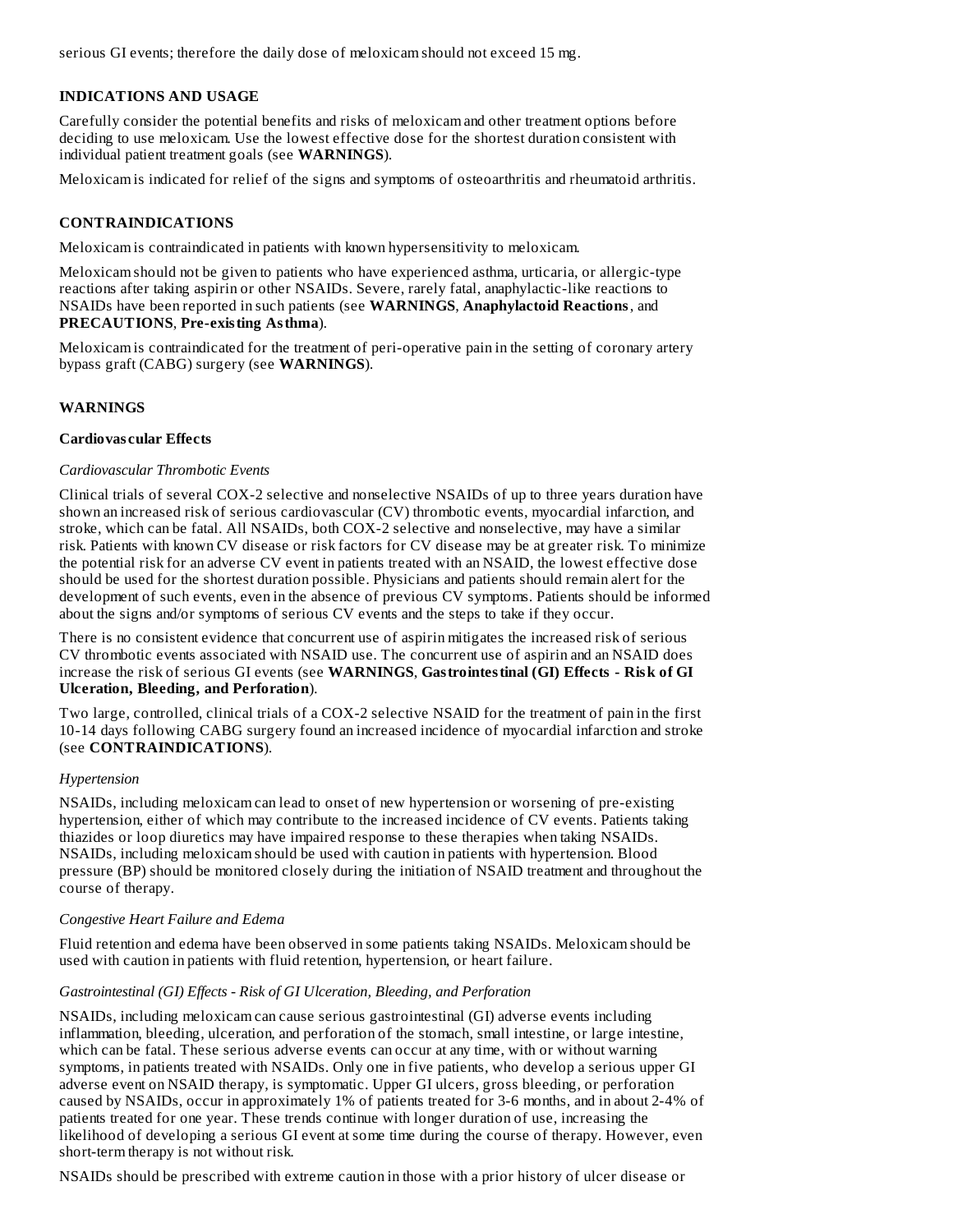serious GI events; therefore the daily dose of meloxicam should not exceed 15 mg.

# **INDICATIONS AND USAGE**

Carefully consider the potential benefits and risks of meloxicam and other treatment options before deciding to use meloxicam. Use the lowest effective dose for the shortest duration consistent with individual patient treatment goals (see **WARNINGS**).

Meloxicam is indicated for relief of the signs and symptoms of osteoarthritis and rheumatoid arthritis.

# **CONTRAINDICATIONS**

Meloxicam is contraindicated in patients with known hypersensitivity to meloxicam.

Meloxicam should not be given to patients who have experienced asthma, urticaria, or allergic-type reactions after taking aspirin or other NSAIDs. Severe, rarely fatal, anaphylactic-like reactions to NSAIDs have been reported in such patients (see **WARNINGS**, **Anaphylactoid Reactions**, and **PRECAUTIONS**, **Pre-existing Asthma**).

Meloxicam is contraindicated for the treatment of peri-operative pain in the setting of coronary artery bypass graft (CABG) surgery (see **WARNINGS**).

# **WARNINGS**

# **Cardiovas cular Effects**

## *Cardiovascular Thrombotic Events*

Clinical trials of several COX-2 selective and nonselective NSAIDs of up to three years duration have shown an increased risk of serious cardiovascular (CV) thrombotic events, myocardial infarction, and stroke, which can be fatal. All NSAIDs, both COX-2 selective and nonselective, may have a similar risk. Patients with known CV disease or risk factors for CV disease may be at greater risk. To minimize the potential risk for an adverse CV event in patients treated with an NSAID, the lowest effective dose should be used for the shortest duration possible. Physicians and patients should remain alert for the development of such events, even in the absence of previous CV symptoms. Patients should be informed about the signs and/or symptoms of serious CV events and the steps to take if they occur.

There is no consistent evidence that concurrent use of aspirin mitigates the increased risk of serious CV thrombotic events associated with NSAID use. The concurrent use of aspirin and an NSAID does increase the risk of serious GI events (see **WARNINGS**, **Gastrointestinal (GI) Effects - Risk of GI Ulceration, Bleeding, and Perforation**).

Two large, controlled, clinical trials of a COX-2 selective NSAID for the treatment of pain in the first 10-14 days following CABG surgery found an increased incidence of myocardial infarction and stroke (see **CONTRAINDICATIONS**).

# *Hypertension*

NSAIDs, including meloxicam can lead to onset of new hypertension or worsening of pre-existing hypertension, either of which may contribute to the increased incidence of CV events. Patients taking thiazides or loop diuretics may have impaired response to these therapies when taking NSAIDs. NSAIDs, including meloxicam should be used with caution in patients with hypertension. Blood pressure (BP) should be monitored closely during the initiation of NSAID treatment and throughout the course of therapy.

# *Congestive Heart Failure and Edema*

Fluid retention and edema have been observed in some patients taking NSAIDs. Meloxicam should be used with caution in patients with fluid retention, hypertension, or heart failure.

# *Gastrointestinal (GI) Effects - Risk of GI Ulceration, Bleeding, and Perforation*

NSAIDs, including meloxicam can cause serious gastrointestinal (GI) adverse events including inflammation, bleeding, ulceration, and perforation of the stomach, small intestine, or large intestine, which can be fatal. These serious adverse events can occur at any time, with or without warning symptoms, in patients treated with NSAIDs. Only one in five patients, who develop a serious upper GI adverse event on NSAID therapy, is symptomatic. Upper GI ulcers, gross bleeding, or perforation caused by NSAIDs, occur in approximately 1% of patients treated for 3-6 months, and in about 2-4% of patients treated for one year. These trends continue with longer duration of use, increasing the likelihood of developing a serious GI event at some time during the course of therapy. However, even short-term therapy is not without risk.

NSAIDs should be prescribed with extreme caution in those with a prior history of ulcer disease or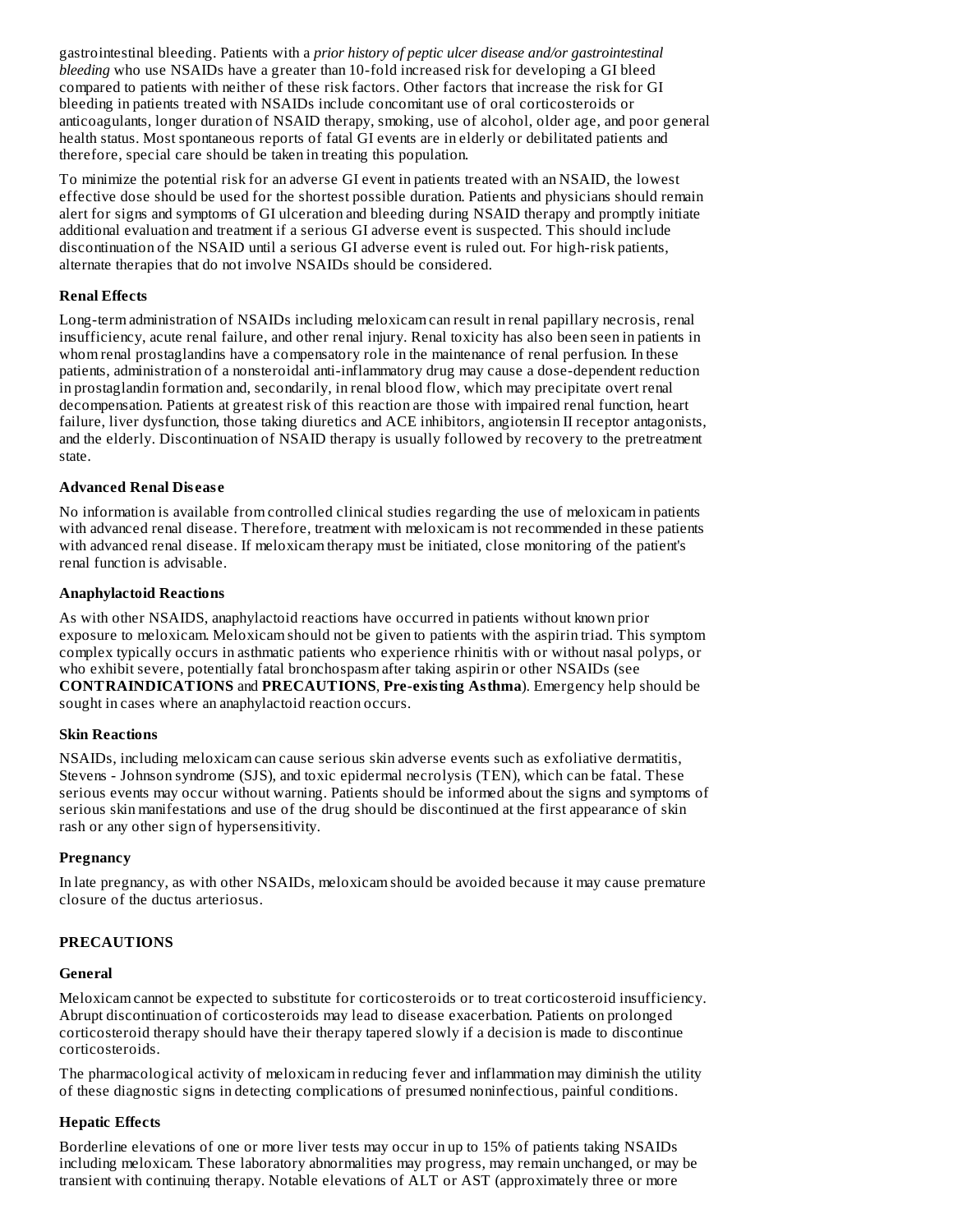gastrointestinal bleeding. Patients with a *prior history of peptic ulcer disease and/or gastrointestinal bleeding* who use NSAIDs have a greater than 10-fold increased risk for developing a GI bleed compared to patients with neither of these risk factors. Other factors that increase the risk for GI bleeding in patients treated with NSAIDs include concomitant use of oral corticosteroids or anticoagulants, longer duration of NSAID therapy, smoking, use of alcohol, older age, and poor general health status. Most spontaneous reports of fatal GI events are in elderly or debilitated patients and therefore, special care should be taken in treating this population.

To minimize the potential risk for an adverse GI event in patients treated with an NSAID, the lowest effective dose should be used for the shortest possible duration. Patients and physicians should remain alert for signs and symptoms of GI ulceration and bleeding during NSAID therapy and promptly initiate additional evaluation and treatment if a serious GI adverse event is suspected. This should include discontinuation of the NSAID until a serious GI adverse event is ruled out. For high-risk patients, alternate therapies that do not involve NSAIDs should be considered.

## **Renal Effects**

Long-term administration of NSAIDs including meloxicam can result in renal papillary necrosis, renal insufficiency, acute renal failure, and other renal injury. Renal toxicity has also been seen in patients in whom renal prostaglandins have a compensatory role in the maintenance of renal perfusion. In these patients, administration of a nonsteroidal anti-inflammatory drug may cause a dose-dependent reduction in prostaglandin formation and, secondarily, in renal blood flow, which may precipitate overt renal decompensation. Patients at greatest risk of this reaction are those with impaired renal function, heart failure, liver dysfunction, those taking diuretics and ACE inhibitors, angiotensin II receptor antagonists, and the elderly. Discontinuation of NSAID therapy is usually followed by recovery to the pretreatment state.

### **Advanced Renal Dis eas e**

No information is available from controlled clinical studies regarding the use of meloxicam in patients with advanced renal disease. Therefore, treatment with meloxicam is not recommended in these patients with advanced renal disease. If meloxicam therapy must be initiated, close monitoring of the patient's renal function is advisable.

### **Anaphylactoid Reactions**

As with other NSAIDS, anaphylactoid reactions have occurred in patients without known prior exposure to meloxicam. Meloxicam should not be given to patients with the aspirin triad. This symptom complex typically occurs in asthmatic patients who experience rhinitis with or without nasal polyps, or who exhibit severe, potentially fatal bronchospasm after taking aspirin or other NSAIDs (see **CONTRAINDICATIONS** and **PRECAUTIONS**, **Pre-existing Asthma**). Emergency help should be sought in cases where an anaphylactoid reaction occurs.

### **Skin Reactions**

NSAIDs, including meloxicam can cause serious skin adverse events such as exfoliative dermatitis, Stevens - Johnson syndrome (SJS), and toxic epidermal necrolysis (TEN), which can be fatal. These serious events may occur without warning. Patients should be informed about the signs and symptoms of serious skin manifestations and use of the drug should be discontinued at the first appearance of skin rash or any other sign of hypersensitivity.

### **Pregnancy**

In late pregnancy, as with other NSAIDs, meloxicam should be avoided because it may cause premature closure of the ductus arteriosus.

# **PRECAUTIONS**

### **General**

Meloxicam cannot be expected to substitute for corticosteroids or to treat corticosteroid insufficiency. Abrupt discontinuation of corticosteroids may lead to disease exacerbation. Patients on prolonged corticosteroid therapy should have their therapy tapered slowly if a decision is made to discontinue corticosteroids.

The pharmacological activity of meloxicam in reducing fever and inflammation may diminish the utility of these diagnostic signs in detecting complications of presumed noninfectious, painful conditions.

### **Hepatic Effects**

Borderline elevations of one or more liver tests may occur in up to 15% of patients taking NSAIDs including meloxicam. These laboratory abnormalities may progress, may remain unchanged, or may be transient with continuing therapy. Notable elevations of ALT or AST (approximately three or more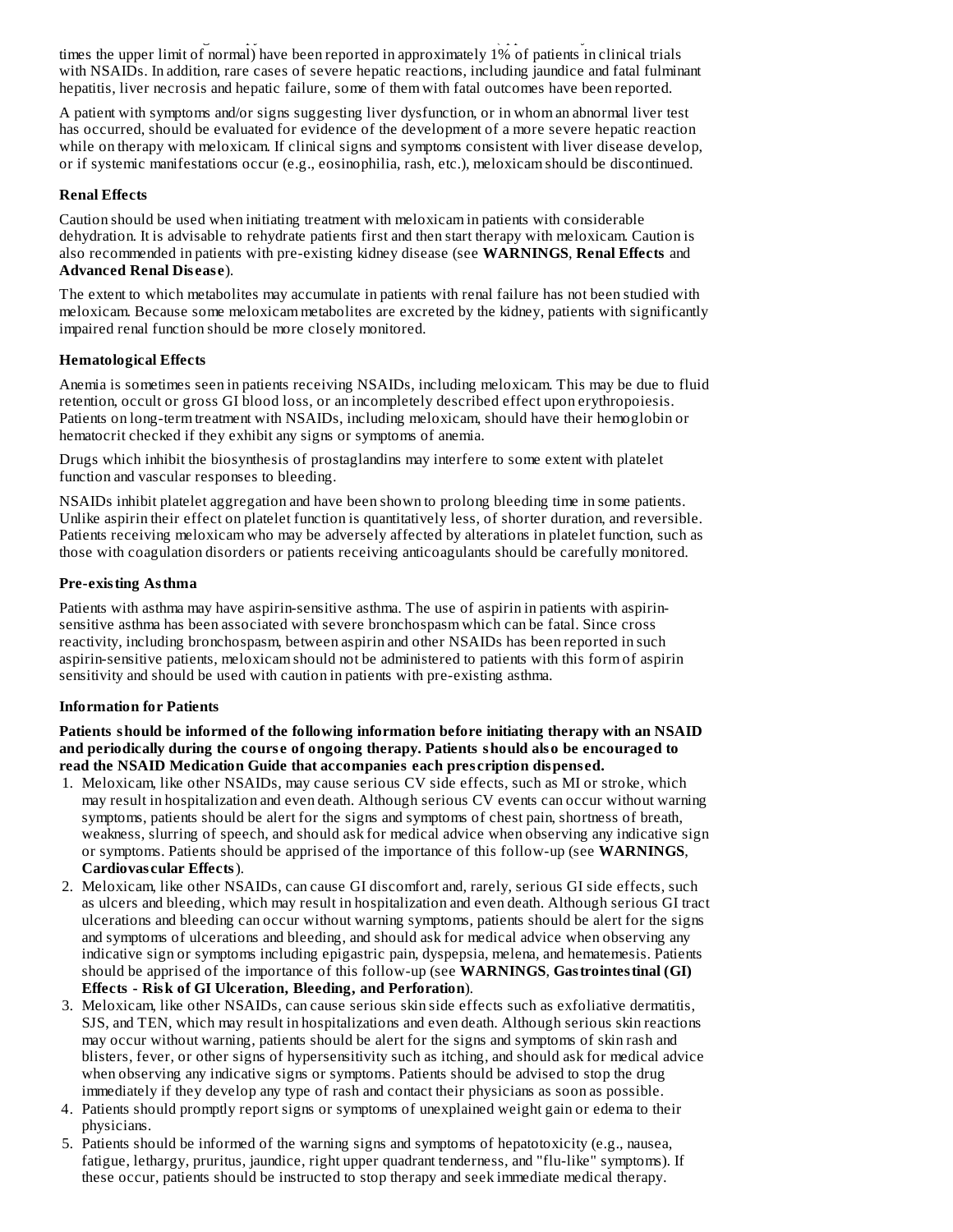transient with continuing therapy. Notable elevations of ALT or AST (approximately three or more times the upper limit of normal) have been reported in approximately 1% of patients in clinical trials with NSAIDs. In addition, rare cases of severe hepatic reactions, including jaundice and fatal fulminant hepatitis, liver necrosis and hepatic failure, some of them with fatal outcomes have been reported.

A patient with symptoms and/or signs suggesting liver dysfunction, or in whom an abnormal liver test has occurred, should be evaluated for evidence of the development of a more severe hepatic reaction while on therapy with meloxicam. If clinical signs and symptoms consistent with liver disease develop, or if systemic manifestations occur (e.g., eosinophilia, rash, etc.), meloxicam should be discontinued.

# **Renal Effects**

Caution should be used when initiating treatment with meloxicam in patients with considerable dehydration. It is advisable to rehydrate patients first and then start therapy with meloxicam. Caution is also recommended in patients with pre-existing kidney disease (see **WARNINGS**, **Renal Effects** and **Advanced Renal Dis eas e**).

The extent to which metabolites may accumulate in patients with renal failure has not been studied with meloxicam. Because some meloxicam metabolites are excreted by the kidney, patients with significantly impaired renal function should be more closely monitored.

# **Hematological Effects**

Anemia is sometimes seen in patients receiving NSAIDs, including meloxicam. This may be due to fluid retention, occult or gross GI blood loss, or an incompletely described effect upon erythropoiesis. Patients on long-term treatment with NSAIDs, including meloxicam, should have their hemoglobin or hematocrit checked if they exhibit any signs or symptoms of anemia.

Drugs which inhibit the biosynthesis of prostaglandins may interfere to some extent with platelet function and vascular responses to bleeding.

NSAIDs inhibit platelet aggregation and have been shown to prolong bleeding time in some patients. Unlike aspirin their effect on platelet function is quantitatively less, of shorter duration, and reversible. Patients receiving meloxicam who may be adversely affected by alterations in platelet function, such as those with coagulation disorders or patients receiving anticoagulants should be carefully monitored.

# **Pre-existing Asthma**

Patients with asthma may have aspirin-sensitive asthma. The use of aspirin in patients with aspirinsensitive asthma has been associated with severe bronchospasm which can be fatal. Since cross reactivity, including bronchospasm, between aspirin and other NSAIDs has been reported in such aspirin-sensitive patients, meloxicam should not be administered to patients with this form of aspirin sensitivity and should be used with caution in patients with pre-existing asthma.

# **Information for Patients**

## **Patients should be informed of the following information before initiating therapy with an NSAID and periodically during the cours e of ongoing therapy. Patients should also be encouraged to read the NSAID Medication Guide that accompanies each pres cription dispens ed.**

- 1. Meloxicam, like other NSAIDs, may cause serious CV side effects, such as MI or stroke, which may result in hospitalization and even death. Although serious CV events can occur without warning symptoms, patients should be alert for the signs and symptoms of chest pain, shortness of breath, weakness, slurring of speech, and should ask for medical advice when observing any indicative sign or symptoms. Patients should be apprised of the importance of this follow-up (see **WARNINGS**, **Cardiovas cular Effects**).
- 2. Meloxicam, like other NSAIDs, can cause GI discomfort and, rarely, serious GI side effects, such as ulcers and bleeding, which may result in hospitalization and even death. Although serious GI tract ulcerations and bleeding can occur without warning symptoms, patients should be alert for the signs and symptoms of ulcerations and bleeding, and should ask for medical advice when observing any indicative sign or symptoms including epigastric pain, dyspepsia, melena, and hematemesis. Patients should be apprised of the importance of this follow-up (see **WARNINGS**, **Gastrointestinal (GI) Effects - Risk of GI Ulceration, Bleeding, and Perforation**).
- 3. Meloxicam, like other NSAIDs, can cause serious skin side effects such as exfoliative dermatitis, SJS, and TEN, which may result in hospitalizations and even death. Although serious skin reactions may occur without warning, patients should be alert for the signs and symptoms of skin rash and blisters, fever, or other signs of hypersensitivity such as itching, and should ask for medical advice when observing any indicative signs or symptoms. Patients should be advised to stop the drug immediately if they develop any type of rash and contact their physicians as soon as possible.
- 4. Patients should promptly report signs or symptoms of unexplained weight gain or edema to their physicians.
- 5. Patients should be informed of the warning signs and symptoms of hepatotoxicity (e.g., nausea, fatigue, lethargy, pruritus, jaundice, right upper quadrant tenderness, and "flu-like" symptoms). If these occur, patients should be instructed to stop therapy and seek immediate medical therapy.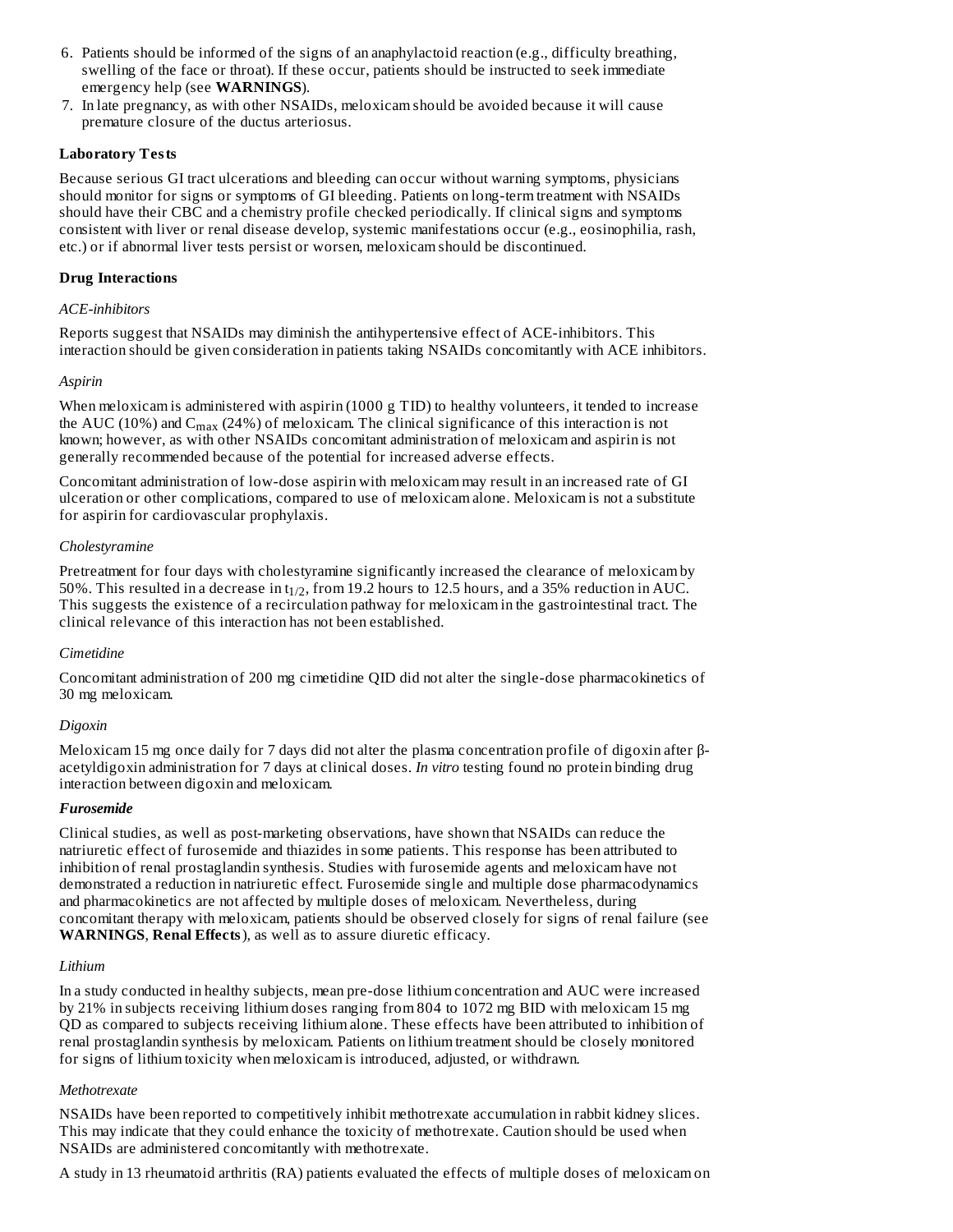- 6. Patients should be informed of the signs of an anaphylactoid reaction (e.g., difficulty breathing, swelling of the face or throat). If these occur, patients should be instructed to seek immediate emergency help (see **WARNINGS**).
- 7. In late pregnancy, as with other NSAIDs, meloxicam should be avoided because it will cause premature closure of the ductus arteriosus.

## **Laboratory Tests**

Because serious GI tract ulcerations and bleeding can occur without warning symptoms, physicians should monitor for signs or symptoms of GI bleeding. Patients on long-term treatment with NSAIDs should have their CBC and a chemistry profile checked periodically. If clinical signs and symptoms consistent with liver or renal disease develop, systemic manifestations occur (e.g., eosinophilia, rash, etc.) or if abnormal liver tests persist or worsen, meloxicam should be discontinued.

### **Drug Interactions**

## *ACE-inhibitors*

Reports suggest that NSAIDs may diminish the antihypertensive effect of ACE-inhibitors. This interaction should be given consideration in patients taking NSAIDs concomitantly with ACE inhibitors.

## *Aspirin*

When meloxicam is administered with aspirin (1000 g TID) to healthy volunteers, it tended to increase the AUC (10%) and  $C_{max}$  (24%) of meloxicam. The clinical significance of this interaction is not known; however, as with other NSAIDs concomitant administration of meloxicam and aspirin is not generally recommended because of the potential for increased adverse effects.

Concomitant administration of low-dose aspirin with meloxicam may result in an increased rate of GI ulceration or other complications, compared to use of meloxicam alone. Meloxicam is not a substitute for aspirin for cardiovascular prophylaxis.

## *Cholestyramine*

Pretreatment for four days with cholestyramine significantly increased the clearance of meloxicam by 50%. This resulted in a decrease in  $t_{1/2}$ , from 19.2 hours to 12.5 hours, and a 35% reduction in AUC. This suggests the existence of a recirculation pathway for meloxicam in the gastrointestinal tract. The clinical relevance of this interaction has not been established.

# *Cimetidine*

Concomitant administration of 200 mg cimetidine QID did not alter the single-dose pharmacokinetics of 30 mg meloxicam.

# *Digoxin*

Meloxicam 15 mg once daily for 7 days did not alter the plasma concentration profile of digoxin after βacetyldigoxin administration for 7 days at clinical doses. *In vitro* testing found no protein binding drug interaction between digoxin and meloxicam.

# *Furosemide*

Clinical studies, as well as post-marketing observations, have shown that NSAIDs can reduce the natriuretic effect of furosemide and thiazides in some patients. This response has been attributed to inhibition of renal prostaglandin synthesis. Studies with furosemide agents and meloxicam have not demonstrated a reduction in natriuretic effect. Furosemide single and multiple dose pharmacodynamics and pharmacokinetics are not affected by multiple doses of meloxicam. Nevertheless, during concomitant therapy with meloxicam, patients should be observed closely for signs of renal failure (see **WARNINGS**, **Renal Effects**), as well as to assure diuretic efficacy.

### *Lithium*

In a study conducted in healthy subjects, mean pre-dose lithium concentration and AUC were increased by 21% in subjects receiving lithium doses ranging from 804 to 1072 mg BID with meloxicam 15 mg QD as compared to subjects receiving lithium alone. These effects have been attributed to inhibition of renal prostaglandin synthesis by meloxicam. Patients on lithium treatment should be closely monitored for signs of lithium toxicity when meloxicam is introduced, adjusted, or withdrawn.

### *Methotrexate*

NSAIDs have been reported to competitively inhibit methotrexate accumulation in rabbit kidney slices. This may indicate that they could enhance the toxicity of methotrexate. Caution should be used when NSAIDs are administered concomitantly with methotrexate.

A study in 13 rheumatoid arthritis (RA) patients evaluated the effects of multiple doses of meloxicam on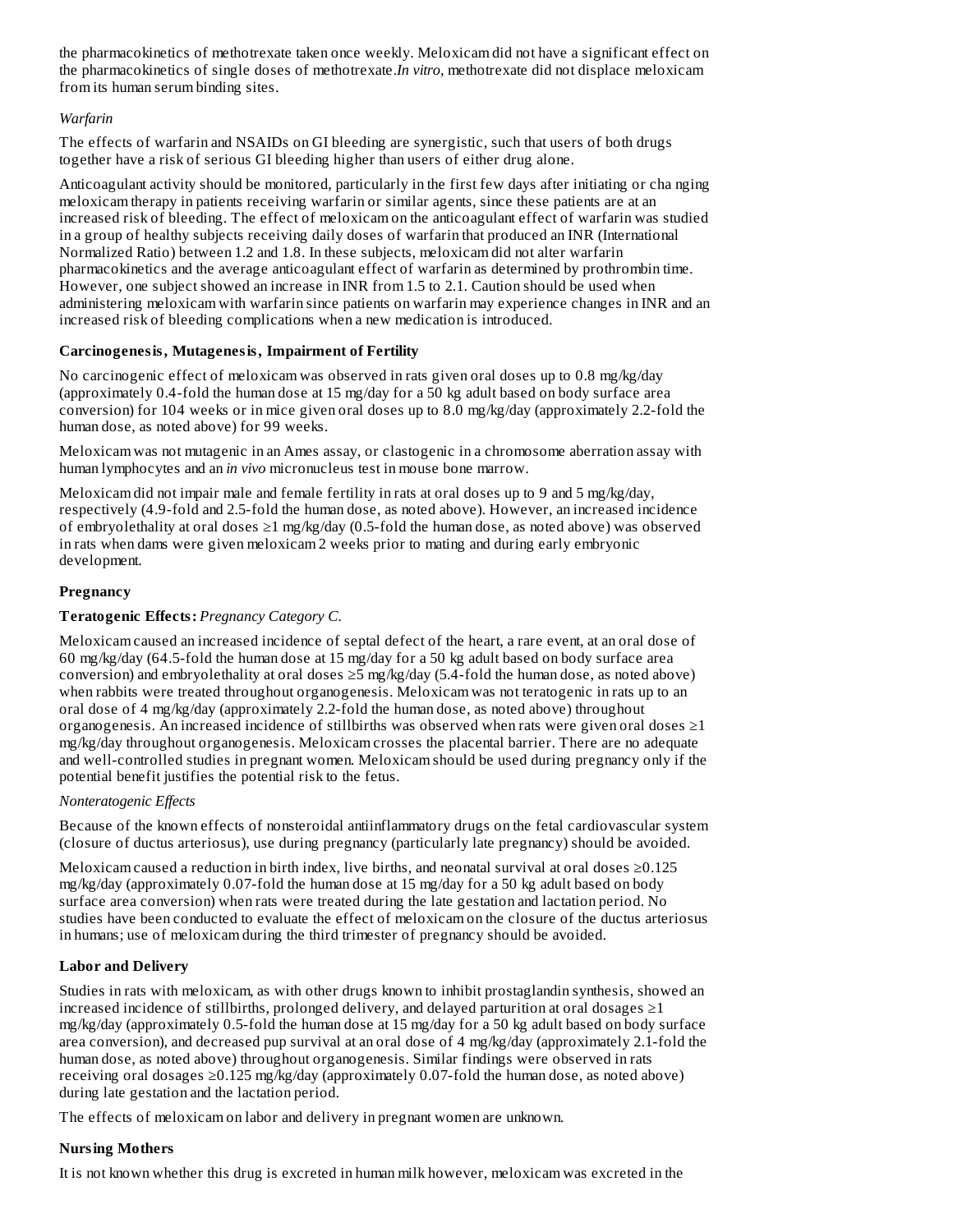the pharmacokinetics of methotrexate taken once weekly. Meloxicam did not have a significant effect on the pharmacokinetics of single doses of methotrexate.*In vitro*, methotrexate did not displace meloxicam from its human serum binding sites.

# *Warfarin*

The effects of warfarin and NSAIDs on GI bleeding are synergistic, such that users of both drugs together have a risk of serious GI bleeding higher than users of either drug alone.

Anticoagulant activity should be monitored, particularly in the first few days after initiating or cha nging meloxicam therapy in patients receiving warfarin or similar agents, since these patients are at an increased risk of bleeding. The effect of meloxicam on the anticoagulant effect of warfarin was studied in a group of healthy subjects receiving daily doses of warfarin that produced an INR (International Normalized Ratio) between 1.2 and 1.8. In these subjects, meloxicam did not alter warfarin pharmacokinetics and the average anticoagulant effect of warfarin as determined by prothrombin time. However, one subject showed an increase in INR from 1.5 to 2.1. Caution should be used when administering meloxicam with warfarin since patients on warfarin may experience changes in INR and an increased risk of bleeding complications when a new medication is introduced.

# **Carcinogenesis, Mutagenesis, Impairment of Fertility**

No carcinogenic effect of meloxicam was observed in rats given oral doses up to 0.8 mg/kg/day (approximately 0.4-fold the human dose at 15 mg/day for a 50 kg adult based on body surface area conversion) for 104 weeks or in mice given oral doses up to 8.0 mg/kg/day (approximately 2.2-fold the human dose, as noted above) for 99 weeks.

Meloxicam was not mutagenic in an Ames assay, or clastogenic in a chromosome aberration assay with human lymphocytes and an *in vivo* micronucleus test in mouse bone marrow.

Meloxicam did not impair male and female fertility in rats at oral doses up to 9 and 5 mg/kg/day, respectively (4.9-fold and 2.5-fold the human dose, as noted above). However, an increased incidence of embryolethality at oral doses ≥1 mg/kg/day (0.5-fold the human dose, as noted above) was observed in rats when dams were given meloxicam 2 weeks prior to mating and during early embryonic development.

# **Pregnancy**

# **Teratogenic Effects:** *Pregnancy Category C.*

Meloxicam caused an increased incidence of septal defect of the heart, a rare event, at an oral dose of 60 mg/kg/day (64.5-fold the human dose at 15 mg/day for a 50 kg adult based on body surface area conversion) and embryolethality at oral doses ≥5 mg/kg/day (5.4-fold the human dose, as noted above) when rabbits were treated throughout organogenesis. Meloxicam was not teratogenic in rats up to an oral dose of 4 mg/kg/day (approximately 2.2-fold the human dose, as noted above) throughout organogenesis. An increased incidence of stillbirths was observed when rats were given oral doses  $\geq 1$ mg/kg/day throughout organogenesis. Meloxicam crosses the placental barrier. There are no adequate and well-controlled studies in pregnant women. Meloxicam should be used during pregnancy only if the potential benefit justifies the potential risk to the fetus.

# *Nonteratogenic Effects*

Because of the known effects of nonsteroidal antiinflammatory drugs on the fetal cardiovascular system (closure of ductus arteriosus), use during pregnancy (particularly late pregnancy) should be avoided.

Meloxicam caused a reduction in birth index, live births, and neonatal survival at oral doses ≥0.125 mg/kg/day (approximately 0.07-fold the human dose at 15 mg/day for a 50 kg adult based on body surface area conversion) when rats were treated during the late gestation and lactation period. No studies have been conducted to evaluate the effect of meloxicam on the closure of the ductus arteriosus in humans; use of meloxicam during the third trimester of pregnancy should be avoided.

# **Labor and Delivery**

Studies in rats with meloxicam, as with other drugs known to inhibit prostaglandin synthesis, showed an increased incidence of stillbirths, prolonged delivery, and delayed parturition at oral dosages  $\geq 1$ mg/kg/day (approximately 0.5-fold the human dose at 15 mg/day for a 50 kg adult based on body surface area conversion), and decreased pup survival at an oral dose of 4 mg/kg/day (approximately 2.1-fold the human dose, as noted above) throughout organogenesis. Similar findings were observed in rats receiving oral dosages ≥0.125 mg/kg/day (approximately 0.07-fold the human dose, as noted above) during late gestation and the lactation period.

The effects of meloxicam on labor and delivery in pregnant women are unknown.

# **Nursing Mothers**

It is not known whether this drug is excreted in human milk however, meloxicam was excreted in the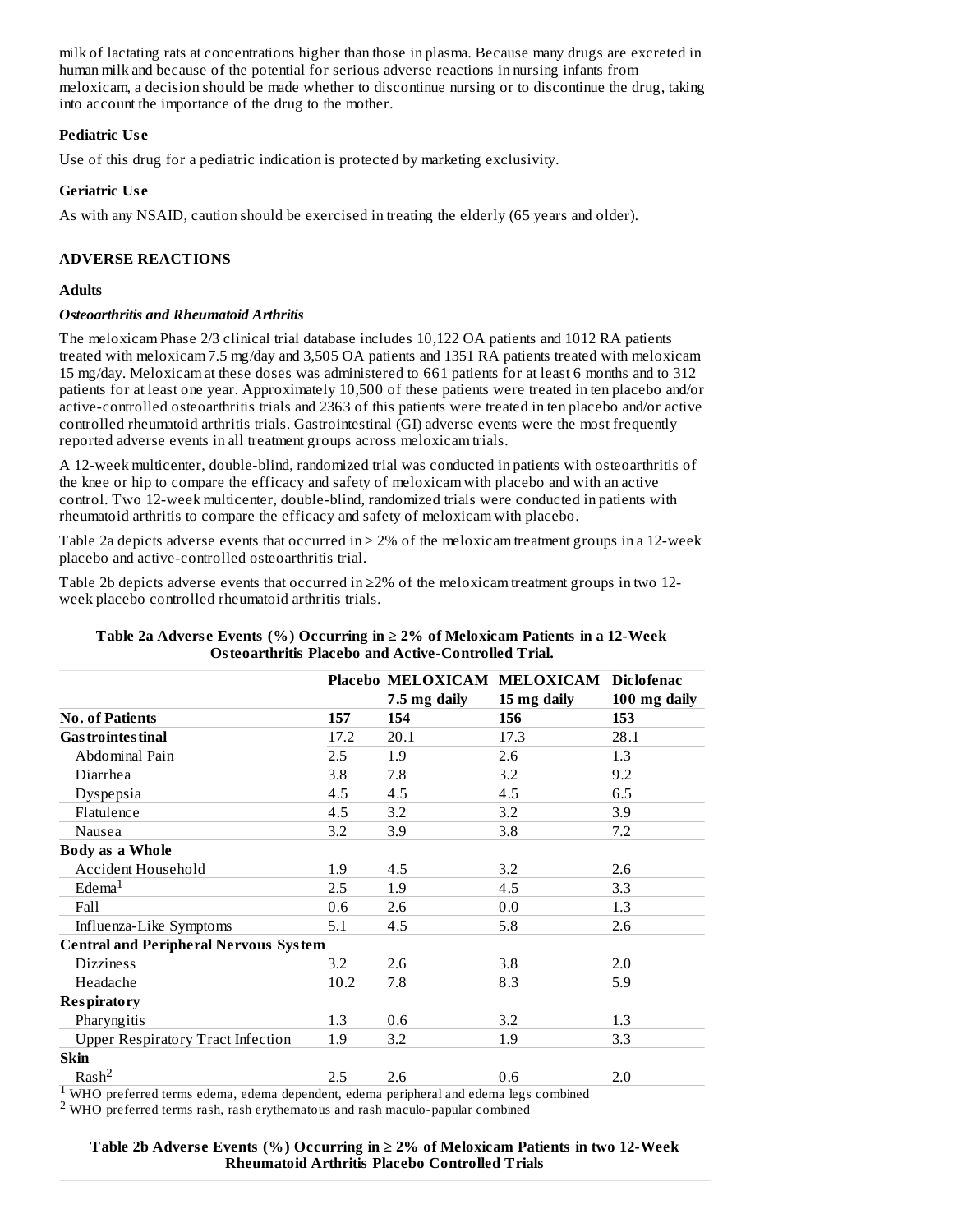milk of lactating rats at concentrations higher than those in plasma. Because many drugs are excreted in human milk and because of the potential for serious adverse reactions in nursing infants from meloxicam, a decision should be made whether to discontinue nursing or to discontinue the drug, taking into account the importance of the drug to the mother.

## **Pediatric Us e**

Use of this drug for a pediatric indication is protected by marketing exclusivity.

## **Geriatric Us e**

As with any NSAID, caution should be exercised in treating the elderly (65 years and older).

## **ADVERSE REACTIONS**

## **Adults**

### *Osteoarthritis and Rheumatoid Arthritis*

The meloxicam Phase 2/3 clinical trial database includes 10,122 OA patients and 1012 RA patients treated with meloxicam 7.5 mg/day and 3,505 OA patients and 1351 RA patients treated with meloxicam 15 mg/day. Meloxicam at these doses was administered to 661 patients for at least 6 months and to 312 patients for at least one year. Approximately 10,500 of these patients were treated in ten placebo and/or active-controlled osteoarthritis trials and 2363 of this patients were treated in ten placebo and/or active controlled rheumatoid arthritis trials. Gastrointestinal (GI) adverse events were the most frequently reported adverse events in all treatment groups across meloxicam trials.

A 12-week multicenter, double-blind, randomized trial was conducted in patients with osteoarthritis of the knee or hip to compare the efficacy and safety of meloxicam with placebo and with an active control. Two 12-week multicenter, double-blind, randomized trials were conducted in patients with rheumatoid arthritis to compare the efficacy and safety of meloxicam with placebo.

Table 2a depicts adverse events that occurred in  $\geq$  2% of the meloxicam treatment groups in a 12-week placebo and active-controlled osteoarthritis trial.

Table 2b depicts adverse events that occurred in  $\geq 2\%$  of the meloxicam treatment groups in two 12week placebo controlled rheumatoid arthritis trials.

|                                              |      |              | Placebo MELOXICAM MELOXICAM Diclofenac |              |
|----------------------------------------------|------|--------------|----------------------------------------|--------------|
|                                              |      | 7.5 mg daily | 15 mg daily                            | 100 mg daily |
| <b>No. of Patients</b>                       | 157  | 154          | 156                                    | 153          |
| <b>Gas trointes tinal</b>                    | 17.2 | 20.1         | 17.3                                   | 28.1         |
| Abdominal Pain                               | 2.5  | 1.9          | 2.6                                    | 1.3          |
| Diarrhea                                     | 3.8  | 7.8          | 3.2                                    | 9.2          |
| Dyspepsia                                    | 4.5  | 4.5          | 4.5                                    | 6.5          |
| Flatulence                                   | 4.5  | 3.2          | 3.2                                    | 3.9          |
| Nausea                                       | 3.2  | 3.9          | 3.8                                    | 7.2          |
| <b>Body as a Whole</b>                       |      |              |                                        |              |
| Accident Household                           | 1.9  | 4.5          | 3.2                                    | 2.6          |
| Edema <sup>1</sup>                           | 2.5  | 1.9          | 4.5                                    | 3.3          |
| Fall                                         | 0.6  | 2.6          | 0.0                                    | 1.3          |
| Influenza-Like Symptoms                      | 5.1  | 4.5          | 5.8                                    | 2.6          |
| <b>Central and Peripheral Nervous System</b> |      |              |                                        |              |
| <b>Dizziness</b>                             | 3.2  | 2.6          | 3.8                                    | 2.0          |
| Headache                                     | 10.2 | 7.8          | 8.3                                    | 5.9          |
| <b>Respiratory</b>                           |      |              |                                        |              |
| Pharyngitis                                  | 1.3  | 0.6          | 3.2                                    | 1.3          |
| <b>Upper Respiratory Tract Infection</b>     | 1.9  | 3.2          | 1.9                                    | 3.3          |
| <b>Skin</b>                                  |      |              |                                        |              |
| Rash <sup>2</sup>                            | 2.5  | 2.6          | 0.6                                    | 2.0          |

| Table 2a Adverse Events (%) Occurring in $\geq 2\%$ of Meloxicam Patients in a 12-Week |
|----------------------------------------------------------------------------------------|
| Osteoarthritis Placebo and Active-Controlled Trial.                                    |

 $1$  WHO preferred terms edema, edema dependent, edema peripheral and edema legs combined

<sup>2</sup> WHO preferred terms rash, rash erythematous and rash maculo-papular combined

### **Table 2b Advers e Events (%) Occurring in ≥ 2% of Meloxicam Patients in two 12-Week Rheumatoid Arthritis Placebo Controlled Trials**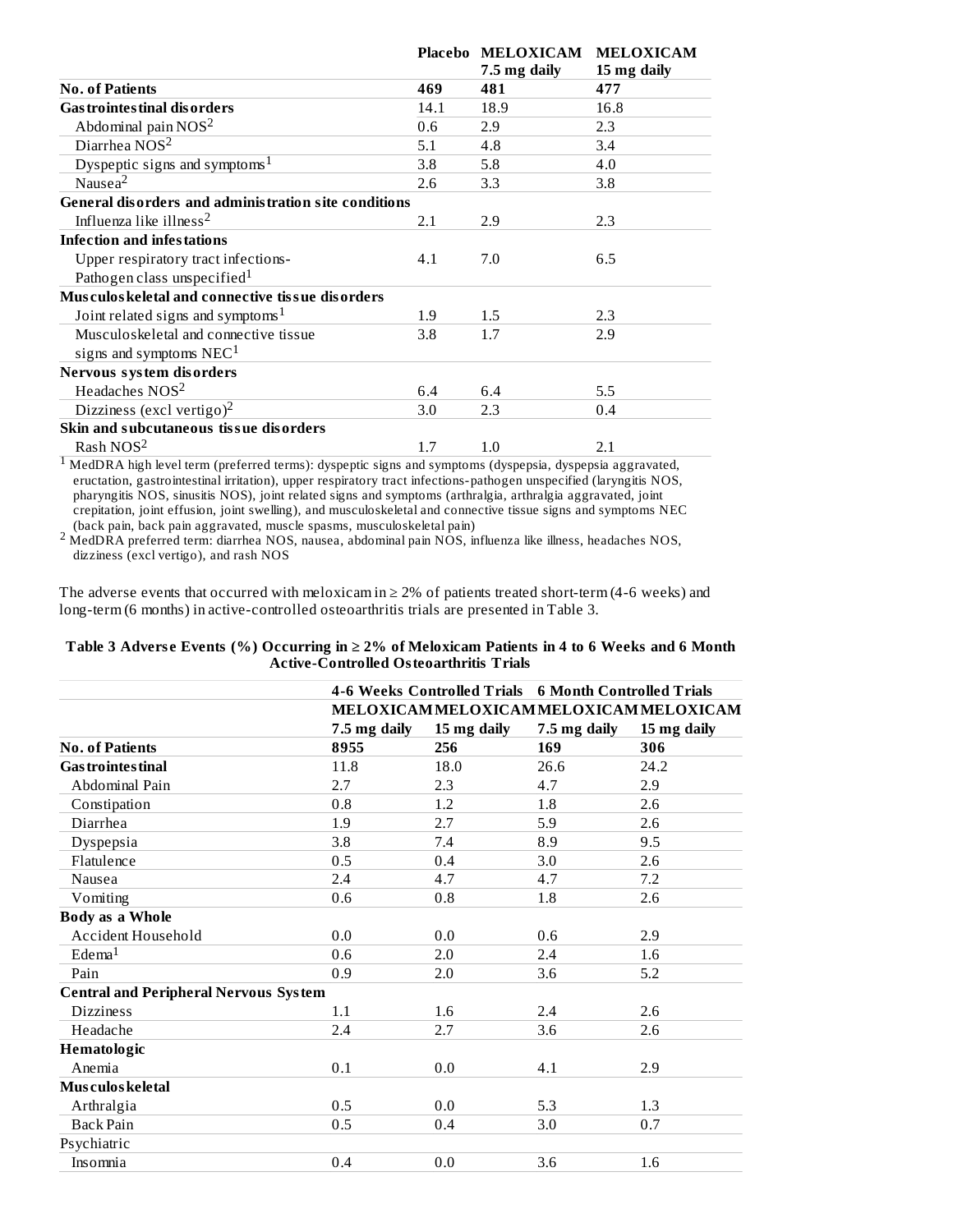|                                                      | Placebo | MELOXICAM    | <b>MELOXICAM</b> |
|------------------------------------------------------|---------|--------------|------------------|
|                                                      |         | 7.5 mg daily | 15 mg daily      |
| <b>No. of Patients</b>                               | 469     | 481          | 477              |
| <b>Gas trointes tinal dis orders</b>                 | 14.1    | 18.9         | 16.8             |
| Abdominal pain NOS <sup>2</sup>                      | 0.6     | 2.9          | 2.3              |
| Diarrhea NOS <sup>2</sup>                            | 5.1     | 4.8          | 3.4              |
| Dyspeptic signs and symptoms $1$                     | 3.8     | 5.8          | 4.0              |
| Nausea <sup>2</sup>                                  | 2.6     | 3.3          | 3.8              |
| General disorders and administration site conditions |         |              |                  |
| Influenza like illness <sup>2</sup>                  | 2.1     | 2.9          | 2.3              |
| Infection and infestations                           |         |              |                  |
| Upper respiratory tract infections-                  | 4.1     | 7.0          | 6.5              |
| Pathogen class unspecified <sup>1</sup>              |         |              |                  |
| Musculos keletal and connective tissue disorders     |         |              |                  |
| Joint related signs and symptoms <sup>1</sup>        | 1.9     | 1.5          | 2.3              |
| Musculoskeletal and connective tissue                | 3.8     | 1.7          | 2.9              |
| signs and symptoms $NEC1$                            |         |              |                  |
| Nervous system disorders                             |         |              |                  |
| Headaches NOS <sup>2</sup>                           | 6.4     | 6.4          | 5.5              |
| Dizziness (excl vertigo) <sup>2</sup>                | 3.0     | 2.3          | 0.4              |
| Skin and subcutaneous tissue disorders               |         |              |                  |
| Rash NOS <sup>2</sup>                                | 1.7     | 1.0          | 2.1              |

 $^1$  MedDRA high level term (preferred terms): dyspeptic signs and symptoms (dyspepsia, dyspepsia aggravated, eructation, gastrointestinal irritation), upper respiratory tract infections-pathogen unspecified (laryngitis NOS, pharyngitis NOS, sinusitis NOS), joint related signs and symptoms (arthralgia, arthralgia aggravated, joint crepitation, joint effusion, joint swelling), and musculoskeletal and connective tissue signs and symptoms NEC (back pain, back pain aggravated, muscle spasms, musculoskeletal pain)

 $^2$  MedDRA preferred term: diarrhea NOS, nausea, abdominal pain NOS, influenza like illness, headaches NOS, dizziness (excl vertigo), and rash NOS

The adverse events that occurred with meloxicam in  $\geq$  2% of patients treated short-term (4-6 weeks) and long-term (6 months) in active-controlled osteoarthritis trials are presented in Table 3.

## Table 3 Adverse Events (%) Occurring in  $\geq$  2% of Meloxicam Patients in 4 to 6 Weeks and 6 Month **Active-Controlled Osteoarthritis Trials**

|                                              |              | 4-6 Weeks Controlled Trials 6 Month Controlled Trials |              |                                      |
|----------------------------------------------|--------------|-------------------------------------------------------|--------------|--------------------------------------|
|                                              |              |                                                       |              | MELOXICAMMELOXICAMMELOXICAMMELOXICAM |
|                                              | 7.5 mg daily | 15 mg daily                                           | 7.5 mg daily | 15 mg daily                          |
| <b>No. of Patients</b>                       | 8955         | 256                                                   | 169          | 306                                  |
| <b>Gastrointestinal</b>                      | 11.8         | 18.0                                                  | 26.6         | 24.2                                 |
| Abdominal Pain                               | 2.7          | 2.3                                                   | 4.7          | 2.9                                  |
| Constipation                                 | 0.8          | 1.2                                                   | 1.8          | 2.6                                  |
| Diarrhea                                     | 1.9          | 2.7                                                   | 5.9          | 2.6                                  |
| Dyspepsia                                    | 3.8          | 7.4                                                   | 8.9          | 9.5                                  |
| Flatulence                                   | 0.5          | 0.4                                                   | 3.0          | 2.6                                  |
| Nausea                                       | 2.4          | 4.7                                                   | 4.7          | 7.2                                  |
| Vomiting                                     | 0.6          | 0.8                                                   | 1.8          | 2.6                                  |
| <b>Body as a Whole</b>                       |              |                                                       |              |                                      |
| Accident Household                           | 0.0          | 0.0                                                   | 0.6          | 2.9                                  |
| Edema <sup>1</sup>                           | 0.6          | 2.0                                                   | 2.4          | 1.6                                  |
| Pain                                         | 0.9          | 2.0                                                   | 3.6          | 5.2                                  |
| <b>Central and Peripheral Nervous System</b> |              |                                                       |              |                                      |
| <b>Dizziness</b>                             | 1.1          | 1.6                                                   | 2.4          | 2.6                                  |
| Headache                                     | 2.4          | 2.7                                                   | 3.6          | 2.6                                  |
| Hematologic                                  |              |                                                       |              |                                      |
| Anemia                                       | 0.1          | 0.0                                                   | 4.1          | 2.9                                  |
| <b>Musculos keletal</b>                      |              |                                                       |              |                                      |
| Arthralgia                                   | 0.5          | 0.0                                                   | 5.3          | 1.3                                  |
| <b>Back Pain</b>                             | 0.5          | 0.4                                                   | 3.0          | 0.7                                  |
| Psychiatric                                  |              |                                                       |              |                                      |
| Insomnia                                     | 0.4          | 0.0                                                   | 3.6          | 1.6                                  |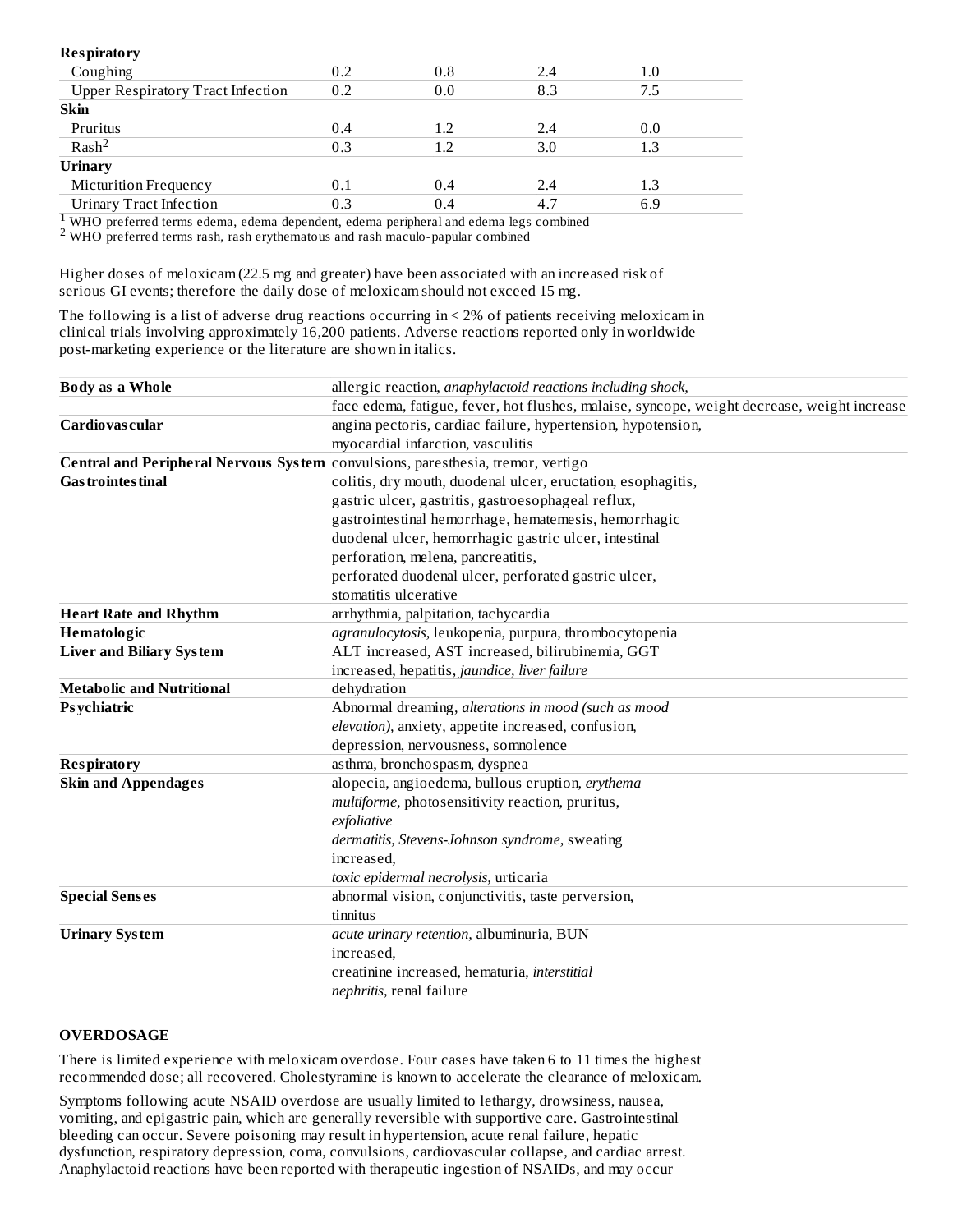| <b>Respiratory</b>                       |     |     |     |     |  |
|------------------------------------------|-----|-----|-----|-----|--|
| Coughing                                 | 0.2 | 0.8 | 2.4 | 1.0 |  |
| <b>Upper Respiratory Tract Infection</b> | 0.2 | 0.0 | 8.3 | 7.5 |  |
| <b>Skin</b>                              |     |     |     |     |  |
| Pruritus                                 | 0.4 | 1.2 | 2.4 | 0.0 |  |
| Rash <sup>2</sup>                        | 0.3 | 1.2 | 3.0 | 1.3 |  |
| <b>Urinary</b>                           |     |     |     |     |  |
| Micturition Frequency                    | 0.1 | 0.4 | 2.4 | 1.3 |  |
| <b>Urinary Tract Infection</b>           | 0.3 | 0.4 | 4.7 | 6.9 |  |

 $1$  WHO preferred terms edema, edema dependent, edema peripheral and edema legs combined

<sup>2</sup> WHO preferred terms rash, rash erythematous and rash maculo-papular combined

Higher doses of meloxicam (22.5 mg and greater) have been associated with an increased risk of serious GI events; therefore the daily dose of meloxicam should not exceed 15 mg.

The following is a list of adverse drug reactions occurring in < 2% of patients receiving meloxicam in clinical trials involving approximately 16,200 patients. Adverse reactions reported only in worldwide post-marketing experience or the literature are shown in italics.

| <b>Body as a Whole</b>                                                          | allergic reaction, anaphylactoid reactions including shock,                                 |
|---------------------------------------------------------------------------------|---------------------------------------------------------------------------------------------|
|                                                                                 | face edema, fatigue, fever, hot flushes, malaise, syncope, weight decrease, weight increase |
| Cardiovas cular                                                                 | angina pectoris, cardiac failure, hypertension, hypotension,                                |
|                                                                                 | myocardial infarction, vasculitis                                                           |
| Central and Peripheral Nervous System convulsions, paresthesia, tremor, vertigo |                                                                                             |
| <b>Gastrointestinal</b>                                                         | colitis, dry mouth, duodenal ulcer, eructation, esophagitis,                                |
|                                                                                 | gastric ulcer, gastritis, gastroesophageal reflux,                                          |
|                                                                                 | gastrointestinal hemorrhage, hematemesis, hemorrhagic                                       |
|                                                                                 | duodenal ulcer, hemorrhagic gastric ulcer, intestinal                                       |
|                                                                                 | perforation, melena, pancreatitis,                                                          |
|                                                                                 | perforated duodenal ulcer, perforated gastric ulcer,                                        |
|                                                                                 | stomatitis ulcerative                                                                       |
| <b>Heart Rate and Rhythm</b>                                                    | arrhythmia, palpitation, tachycardia                                                        |
| Hematologic                                                                     | agranulocytosis, leukopenia, purpura, thrombocytopenia                                      |
| <b>Liver and Biliary System</b>                                                 | ALT increased, AST increased, bilirubinemia, GGT                                            |
|                                                                                 | increased, hepatitis, jaundice, liver failure                                               |
| <b>Metabolic and Nutritional</b>                                                | dehydration                                                                                 |
| <b>Psychiatric</b>                                                              | Abnormal dreaming, alterations in mood (such as mood                                        |
|                                                                                 | elevation), anxiety, appetite increased, confusion,                                         |
|                                                                                 | depression, nervousness, sommolence                                                         |
| <b>Respiratory</b>                                                              | asthma, bronchospasm, dyspnea                                                               |
| <b>Skin and Appendages</b>                                                      | alopecia, angioedema, bullous eruption, erythema                                            |
|                                                                                 | multiforme, photosensitivity reaction, pruritus,                                            |
|                                                                                 | exfoliative                                                                                 |
|                                                                                 | dermatitis, Stevens-Johnson syndrome, sweating                                              |
|                                                                                 | increased,                                                                                  |
|                                                                                 | toxic epidermal necrolysis, urticaria                                                       |
| <b>Special Senses</b>                                                           | abnormal vision, conjunctivitis, taste perversion,                                          |
|                                                                                 | tinnitus                                                                                    |
| <b>Urinary System</b>                                                           | acute urinary retention, albuminuria, BUN                                                   |
|                                                                                 | increased,                                                                                  |
|                                                                                 | creatinine increased, hematuria, interstitial                                               |
|                                                                                 | nephritis, renal failure                                                                    |

# **OVERDOSAGE**

There is limited experience with meloxicam overdose. Four cases have taken 6 to 11 times the highest recommended dose; all recovered. Cholestyramine is known to accelerate the clearance of meloxicam.

Symptoms following acute NSAID overdose are usually limited to lethargy, drowsiness, nausea, vomiting, and epigastric pain, which are generally reversible with supportive care. Gastrointestinal bleeding can occur. Severe poisoning may result in hypertension, acute renal failure, hepatic dysfunction, respiratory depression, coma, convulsions, cardiovascular collapse, and cardiac arrest. Anaphylactoid reactions have been reported with therapeutic ingestion of NSAIDs, and may occur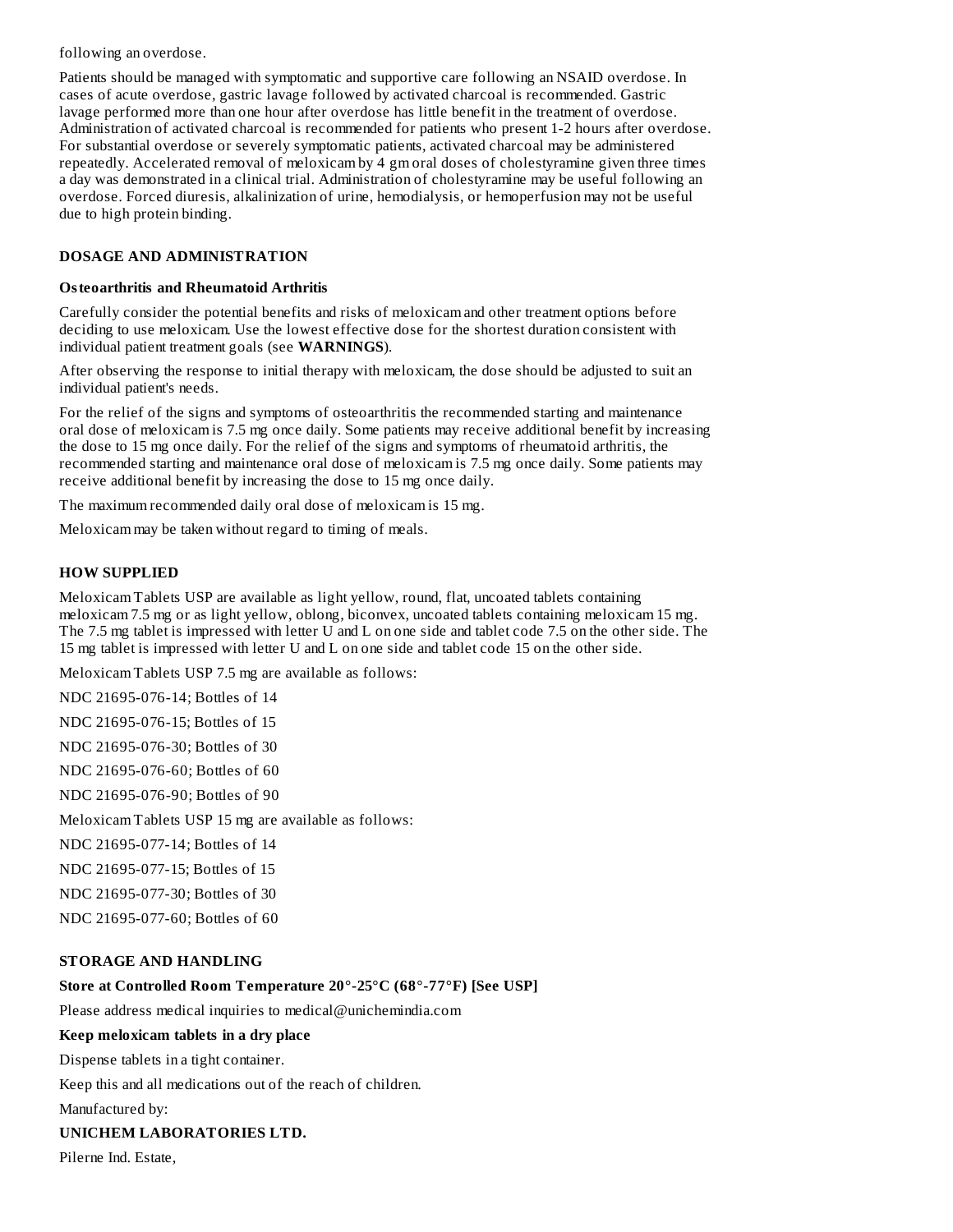following an overdose.

Patients should be managed with symptomatic and supportive care following an NSAID overdose. In cases of acute overdose, gastric lavage followed by activated charcoal is recommended. Gastric lavage performed more than one hour after overdose has little benefit in the treatment of overdose. Administration of activated charcoal is recommended for patients who present 1-2 hours after overdose. For substantial overdose or severely symptomatic patients, activated charcoal may be administered repeatedly. Accelerated removal of meloxicam by 4 gm oral doses of cholestyramine given three times a day was demonstrated in a clinical trial. Administration of cholestyramine may be useful following an overdose. Forced diuresis, alkalinization of urine, hemodialysis, or hemoperfusion may not be useful due to high protein binding.

# **DOSAGE AND ADMINISTRATION**

# **Osteoarthritis and Rheumatoid Arthritis**

Carefully consider the potential benefits and risks of meloxicam and other treatment options before deciding to use meloxicam. Use the lowest effective dose for the shortest duration consistent with individual patient treatment goals (see **WARNINGS**).

After observing the response to initial therapy with meloxicam, the dose should be adjusted to suit an individual patient's needs.

For the relief of the signs and symptoms of osteoarthritis the recommended starting and maintenance oral dose of meloxicam is 7.5 mg once daily. Some patients may receive additional benefit by increasing the dose to 15 mg once daily. For the relief of the signs and symptoms of rheumatoid arthritis, the recommended starting and maintenance oral dose of meloxicam is 7.5 mg once daily. Some patients may receive additional benefit by increasing the dose to 15 mg once daily.

The maximum recommended daily oral dose of meloxicam is 15 mg.

Meloxicam may be taken without regard to timing of meals.

## **HOW SUPPLIED**

Meloxicam Tablets USP are available as light yellow, round, flat, uncoated tablets containing meloxicam 7.5 mg or as light yellow, oblong, biconvex, uncoated tablets containing meloxicam 15 mg. The 7.5 mg tablet is impressed with letter U and L on one side and tablet code 7.5 on the other side. The 15 mg tablet is impressed with letter U and L on one side and tablet code 15 on the other side.

Meloxicam Tablets USP 7.5 mg are available as follows:

NDC 21695-076-14; Bottles of 14 NDC 21695-076-15; Bottles of 15 NDC 21695-076-30; Bottles of 30 NDC 21695-076-60; Bottles of 60 NDC 21695-076-90; Bottles of 90 Meloxicam Tablets USP 15 mg are available as follows: NDC 21695-077-14; Bottles of 14 NDC 21695-077-15; Bottles of 15 NDC 21695-077-30; Bottles of 30 NDC 21695-077-60; Bottles of 60

# **STORAGE AND HANDLING**

**Store at Controlled Room Temperature 20°-25°C (68°-77°F) [See USP]**

Please address medical inquiries to medical@unichemindia.com

### **Keep meloxicam tablets in a dry place**

Dispense tablets in a tight container.

Keep this and all medications out of the reach of children.

Manufactured by:

### **UNICHEM LABORATORIES LTD.**

Pilerne Ind. Estate,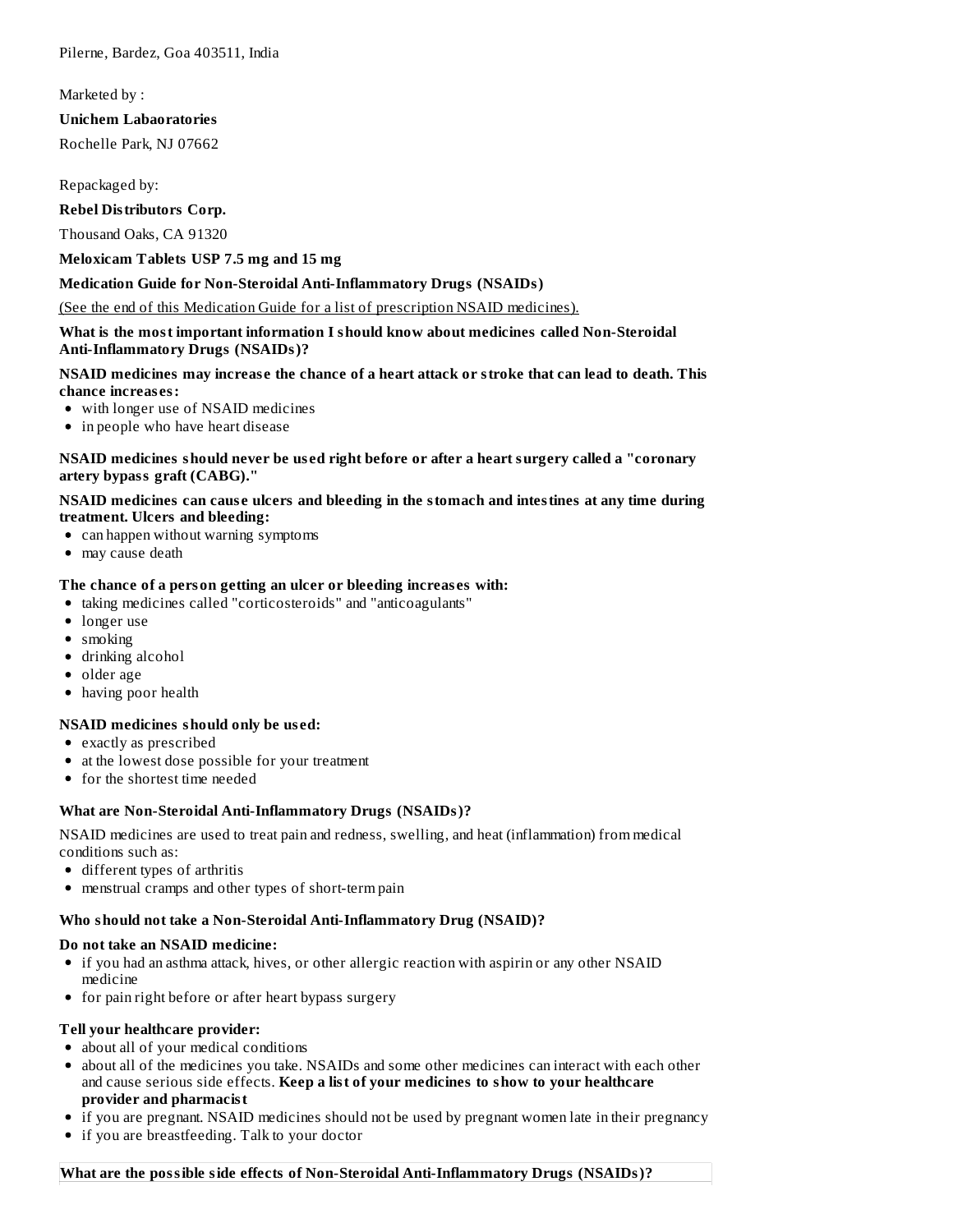Pilerne, Bardez, Goa 403511, India

# Marketed by :

# **Unichem Labaoratories**

Rochelle Park, NJ 07662

Repackaged by:

# **Rebel Distributors Corp.**

Thousand Oaks, CA 91320

**Meloxicam Tablets USP 7.5 mg and 15 mg**

# **Medication Guide for Non-Steroidal Anti-Inflammatory Drugs (NSAIDs)**

# (See the end of this Medication Guide for a list of prescription NSAID medicines).

## **What is the most important information I should know about medicines called Non-Steroidal Anti-Inflammatory Drugs (NSAIDs)?**

# NSAID medicines may increase the chance of a heart attack or stroke that can lead to death. This **chance increas es:**

- with longer use of NSAID medicines
- in people who have heart disease

## **NSAID medicines should never be us ed right before or after a heart surgery called a "coronary artery bypass graft (CABG)."**

## **NSAID medicines can caus e ulcers and bleeding in the stomach and intestines at any time during treatment. Ulcers and bleeding:**

- can happen without warning symptoms
- may cause death

# **The chance of a person getting an ulcer or bleeding increas es with:**

- taking medicines called "corticosteroids" and "anticoagulants"
- longer use
- smoking
- drinking alcohol
- older age
- having poor health

# **NSAID medicines should only be us ed:**

- exactly as prescribed
- at the lowest dose possible for your treatment
- for the shortest time needed

# **What are Non-Steroidal Anti-Inflammatory Drugs (NSAIDs)?**

NSAID medicines are used to treat pain and redness, swelling, and heat (inflammation) from medical conditions such as:

- different types of arthritis
- menstrual cramps and other types of short-term pain  $\bullet$

# **Who should not take a Non-Steroidal Anti-Inflammatory Drug (NSAID)?**

# **Do not take an NSAID medicine:**

- if you had an asthma attack, hives, or other allergic reaction with aspirin or any other NSAID medicine
- for pain right before or after heart bypass surgery

# **Tell your healthcare provider:**

- about all of your medical conditions
- about all of the medicines you take. NSAIDs and some other medicines can interact with each other and cause serious side effects. **Keep a list of your medicines to show to your healthcare provider and pharmacist**
- if you are pregnant. NSAID medicines should not be used by pregnant women late in their pregnancy
- if you are breastfeeding. Talk to your doctor

### **What are the possible side effects of Non-Steroidal Anti-Inflammatory Drugs (NSAIDs)?**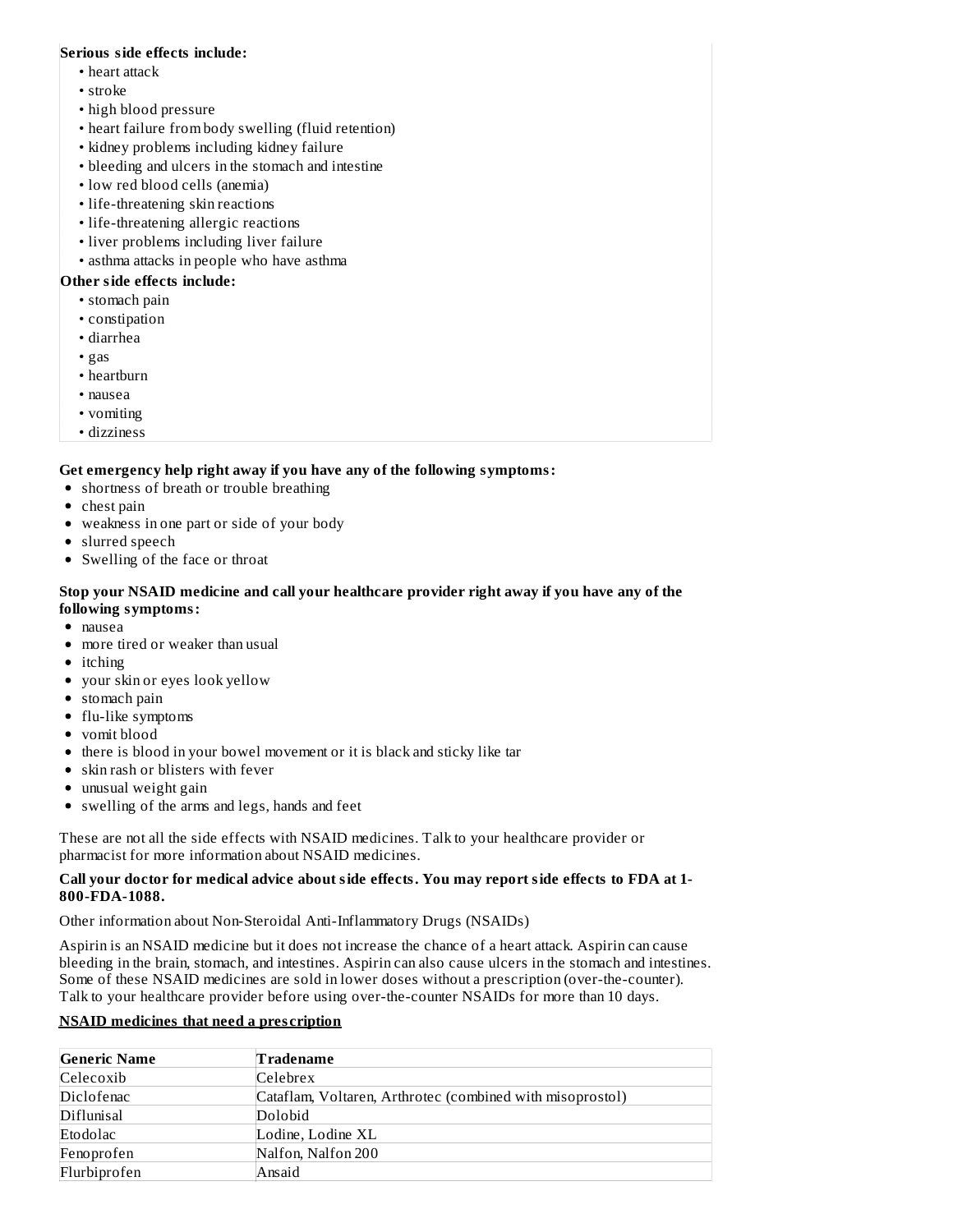# **Serious side effects include:**

- heart attack
- stroke
- high blood pressure
- heart failure from body swelling (fluid retention)
- kidney problems including kidney failure
- bleeding and ulcers in the stomach and intestine
- low red blood cells (anemia)
- life-threatening skin reactions
- life-threatening allergic reactions
- liver problems including liver failure
- asthma attacks in people who have asthma

### **Other side effects include:**

- stomach pain
- constipation
- diarrhea
- gas
- heartburn
- nausea
- vomiting
- dizziness

# **Get emergency help right away if you have any of the following symptoms:**

- shortness of breath or trouble breathing
- chest pain
- weakness in one part or side of your body
- slurred speech
- Swelling of the face or throat

### **Stop your NSAID medicine and call your healthcare provider right away if you have any of the following symptoms:**

- nausea
- more tired or weaker than usual
- itching
- $\bullet$ your skin or eyes look yellow
- stomach pain
- flu-like symptoms
- vomit blood
- there is blood in your bowel movement or it is black and sticky like tar
- skin rash or blisters with fever
- unusual weight gain
- swelling of the arms and legs, hands and feet

These are not all the side effects with NSAID medicines. Talk to your healthcare provider or pharmacist for more information about NSAID medicines.

## **Call your doctor for medical advice about side effects. You may report side effects to FDA at 1- 800-FDA-1088.**

Other information about Non-Steroidal Anti-Inflammatory Drugs (NSAIDs)

Aspirin is an NSAID medicine but it does not increase the chance of a heart attack. Aspirin can cause bleeding in the brain, stomach, and intestines. Aspirin can also cause ulcers in the stomach and intestines. Some of these NSAID medicines are sold in lower doses without a prescription (over-the-counter). Talk to your healthcare provider before using over-the-counter NSAIDs for more than 10 days.

### **NSAID medicines that need a pres cription**

| <b>Generic Name</b> | Tradename                                                 |
|---------------------|-----------------------------------------------------------|
| Celecoxib           | <b>Celebrex</b>                                           |
| Diclofenac          | Cataflam, Voltaren, Arthrotec (combined with misoprostol) |
| Diflunisal          | Dolobid                                                   |
| Etodolac            | Lodine, Lodine XL                                         |
| Fenoprofen          | Nalfon, Nalfon 200                                        |
| Flurbiprofen        | Ansaid                                                    |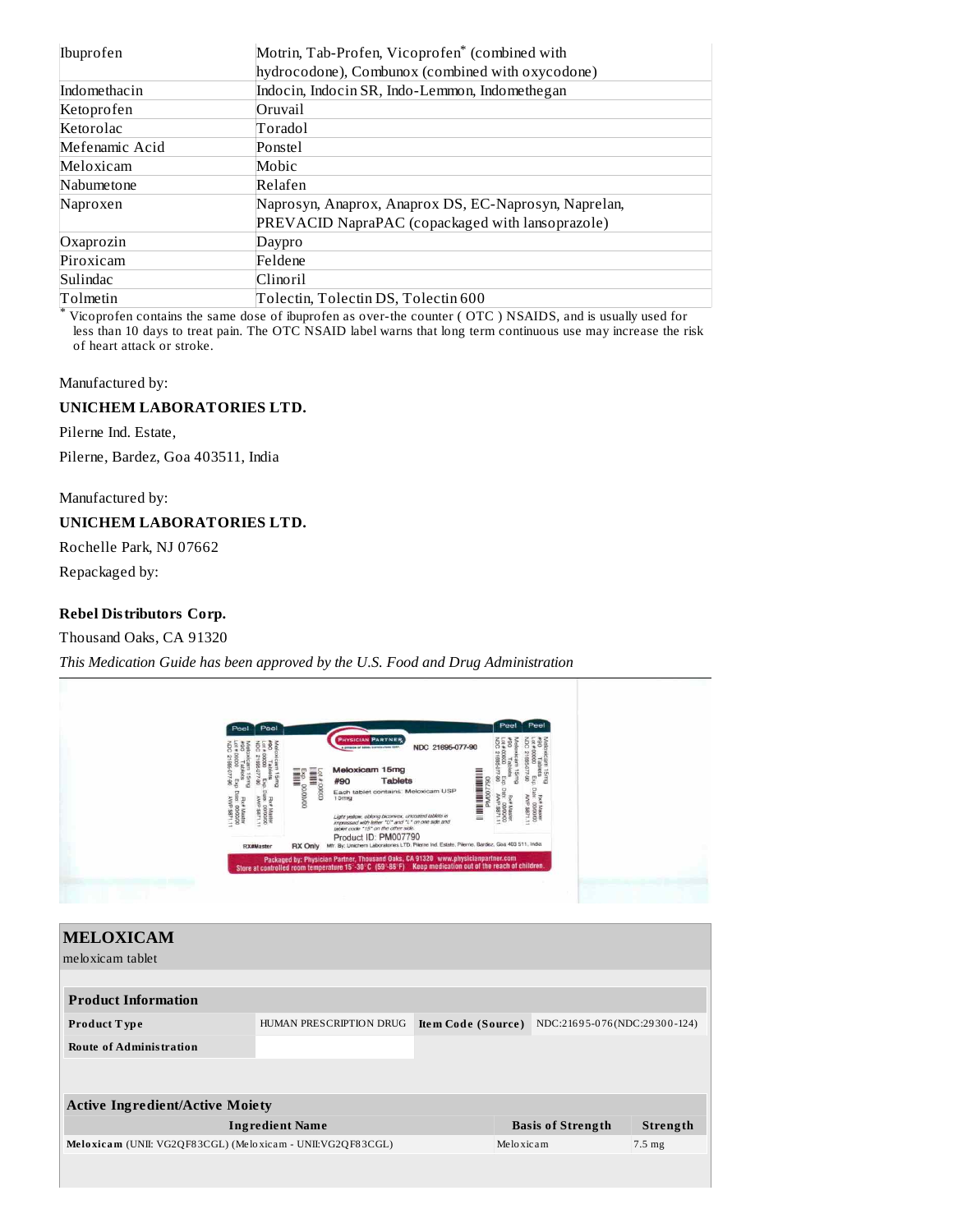| <b>Ibuprofen</b> | Motrin, Tab-Profen, Vicoprofen <sup>*</sup> (combined with |
|------------------|------------------------------------------------------------|
|                  | hydrocodone), Combunox (combined with oxycodone)           |
| Indomethacin     | Indocin, Indocin SR, Indo-Lemmon, Indomethegan             |
| Ketoprofen       | Oruvail                                                    |
| Ketorolac        | Toradol                                                    |
| Mefenamic Acid   | Ponstel                                                    |
| Meloxicam        | Mobic                                                      |
| Nabumetone       | Relafen                                                    |
| Naproxen         | Naprosyn, Anaprox, Anaprox DS, EC-Naprosyn, Naprelan,      |
|                  | PREVACID NapraPAC (copackaged with lansoprazole)           |
| Oxaprozin        | Daypro                                                     |
| Piroxicam        | Feldene                                                    |
| Sulindac         | Clinoril                                                   |
| Tolmetin         | Tolectin, Tolectin DS, Tolectin 600                        |

\* Vicoprofen contains the same dose of ibuprofen as over-the counter (OTC) NSAIDS, and is usually used for less than 10 days to treat pain. The OTC NSAID label warns that long term continuous use may increase the risk of heart attack or stroke.

## Manufactured by:

# **UNICHEM LABORATORIES LTD.**

Pilerne Ind. Estate,

Pilerne, Bardez, Goa 403511, India

## Manufactured by:

# **UNICHEM LABORATORIES LTD.**

Rochelle Park, NJ 07662

Repackaged by:

## **Rebel Distributors Corp.**

Thousand Oaks, CA 91320

*This Medication Guide has been approved by the U.S. Food and Drug Administration*

| Peel<br>Peel                                                                         |                                                                                                          | <b>PHYSICIAN PARTNER</b><br>NDC 21695-077-90<br>A preside or hope, correlations com-                                                                                                       | $\frac{6}{5}$<br>g                                                          |  |
|--------------------------------------------------------------------------------------|----------------------------------------------------------------------------------------------------------|--------------------------------------------------------------------------------------------------------------------------------------------------------------------------------------------|-----------------------------------------------------------------------------|--|
| ğ<br>00000<br>58912<br>cam                                                           |                                                                                                          |                                                                                                                                                                                            | Aeloxicam<br>dt #100000<br>4DC 21685<br>$rac{1}{100000}$<br>$\overline{60}$ |  |
| Tablets<br>aplett<br>06-17.90<br>۰<br>Burg                                           | $\begin{array}{c} \textbf{H} \\ \textbf{H} \\ \textbf{H} \\ \textbf{H} \end{array}$<br>Exp. 00/00/00<br> | <b>Meloxicam 15mg</b><br><b>Tablets</b>                                                                                                                                                    | ŝ<br>ò<br>â<br>$rac{1}{6}$<br>ġ<br>$^{\circ}$<br>g<br>f se                  |  |
| Buig)<br>$\overline{8}$<br>ö                                                         |                                                                                                          | II I DIN TEHTHINI I I<br>PM007790<br>#90<br>Each tablet contains: Meloxicam USP                                                                                                            |                                                                             |  |
| NVP                                                                                  |                                                                                                          | 15mg                                                                                                                                                                                       | BS d/Vs<br>000 38                                                           |  |
| Rx*Master<br>and 0000000<br>AWP \$871.11<br>Rx#Master<br>ee: 0000000<br>AWP \$871.11 |                                                                                                          | Light yellow, oblong biconvex, uncoated tablets is                                                                                                                                         | Foc # Master<br>att: 0000000<br>AMP-5871.1'<br>а<br>u                       |  |
|                                                                                      |                                                                                                          | impressed with letter "U" and "L" on one side and<br>tablet code "15" on the other side.                                                                                                   |                                                                             |  |
|                                                                                      |                                                                                                          | Product ID: PM007790<br>Mfr. By: Unichem Laboratories LTD. Pilerne Ind. Estate, Pilerne, Bardez, Goa 403 511, India                                                                        |                                                                             |  |
| <b>RX#Master</b>                                                                     | <b>RX Only</b>                                                                                           | Packaged by: Physician Partner, Thousand Oaks, CA 91320 www.physicianpartner.com<br>Store at controlled room temperature 15°-30°C (59°-86°F) Keep medication out of the reach of children. |                                                                             |  |

| <b>MELOXICAM</b>                                           |                         |                    |                              |          |
|------------------------------------------------------------|-------------------------|--------------------|------------------------------|----------|
| meloxicam tablet                                           |                         |                    |                              |          |
|                                                            |                         |                    |                              |          |
| <b>Product Information</b>                                 |                         |                    |                              |          |
| Product Type                                               | HUMAN PRESCRIPTION DRUG | Item Code (Source) | NDC:21695-076(NDC:29300-124) |          |
| <b>Route of Administration</b>                             |                         |                    |                              |          |
|                                                            |                         |                    |                              |          |
|                                                            |                         |                    |                              |          |
| <b>Active Ingredient/Active Moiety</b>                     |                         |                    |                              |          |
|                                                            | <b>Ingredient Name</b>  |                    | <b>Basis of Strength</b>     | Strength |
| Meloxicam (UNII: VG2QF83CGL) (Meloxicam - UNII:VG2QF83CGL) |                         |                    | Meloxicam                    | 7.5 mg   |
|                                                            |                         |                    |                              |          |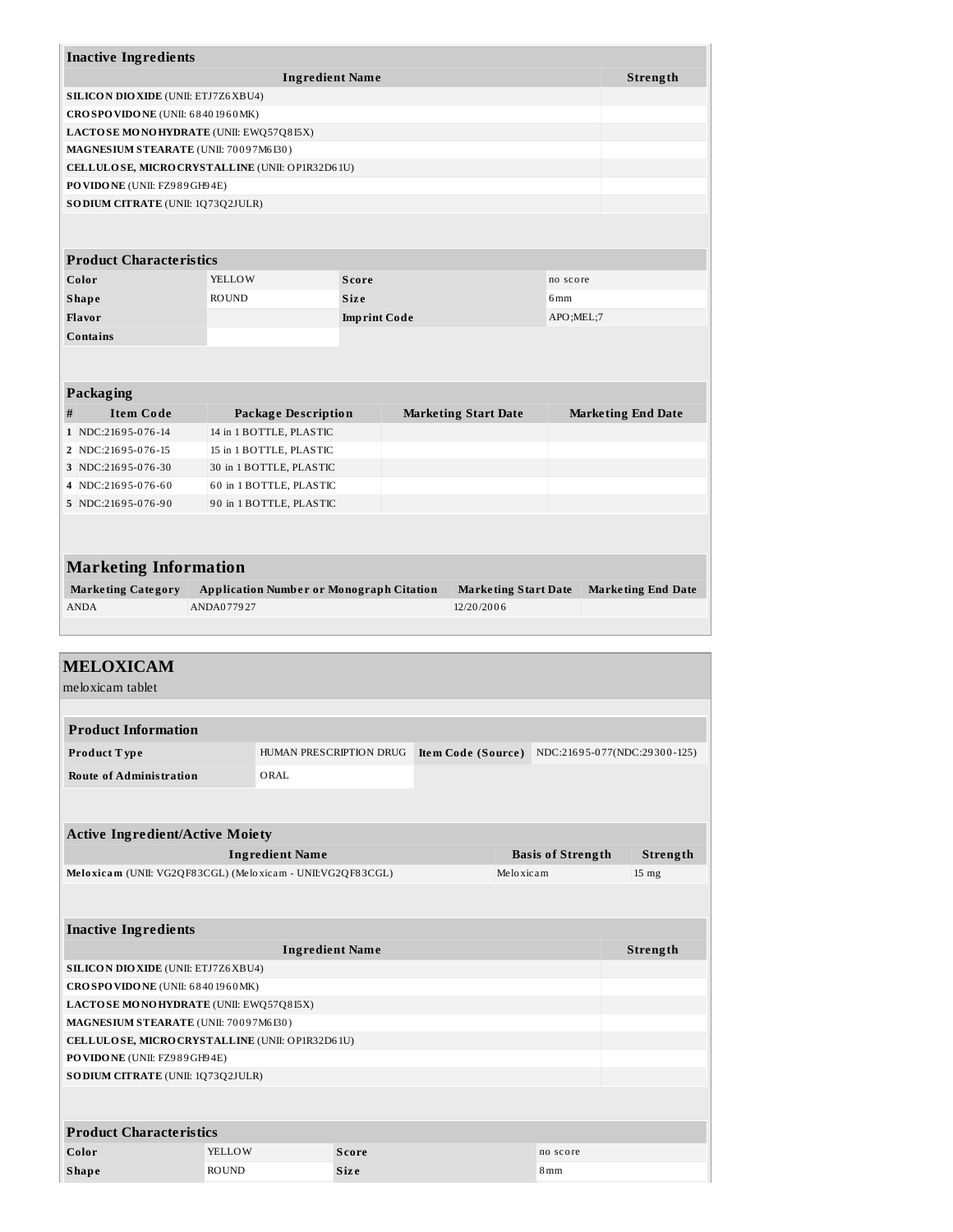|                                                            | <b>Inactive Ingredients</b>                    |            |                                                 |                     |  |                             |  |                 |                                                        |
|------------------------------------------------------------|------------------------------------------------|------------|-------------------------------------------------|---------------------|--|-----------------------------|--|-----------------|--------------------------------------------------------|
| <b>Ingredient Name</b>                                     |                                                |            |                                                 |                     |  |                             |  | Strength        |                                                        |
| <b>SILICON DIOXIDE</b> (UNII: ETJ7Z6XBU4)                  |                                                |            |                                                 |                     |  |                             |  |                 |                                                        |
|                                                            | CRO SPO VIDO NE (UNII: 68401960 MK)            |            |                                                 |                     |  |                             |  |                 |                                                        |
|                                                            | LACTOSE MONOHYDRATE (UNII: EWQ57Q8I5X)         |            |                                                 |                     |  |                             |  |                 |                                                        |
|                                                            | MAGNESIUM STEARATE (UNII: 70097M6I30)          |            |                                                 |                     |  |                             |  |                 |                                                        |
|                                                            | CELLULOSE, MICROCRYSTALLINE (UNII: OP1R32D61U) |            |                                                 |                     |  |                             |  |                 |                                                        |
|                                                            | PO VIDO NE (UNII: FZ989GH94E)                  |            |                                                 |                     |  |                             |  |                 |                                                        |
|                                                            | SODIUM CITRATE (UNII: 1Q73Q2JULR)              |            |                                                 |                     |  |                             |  |                 |                                                        |
|                                                            |                                                |            |                                                 |                     |  |                             |  |                 |                                                        |
|                                                            |                                                |            |                                                 |                     |  |                             |  |                 |                                                        |
|                                                            | <b>Product Characteristics</b>                 |            |                                                 |                     |  |                             |  |                 |                                                        |
|                                                            | Color                                          | YELLOW     |                                                 | Score               |  | no score                    |  |                 |                                                        |
|                                                            | Shape                                          | ROUND      |                                                 | <b>Size</b>         |  | 6 <sub>mm</sub>             |  |                 |                                                        |
|                                                            | <b>Flavor</b>                                  |            |                                                 | <b>Imprint Code</b> |  |                             |  | APO;MEL;7       |                                                        |
|                                                            | Contains                                       |            |                                                 |                     |  |                             |  |                 |                                                        |
|                                                            |                                                |            |                                                 |                     |  |                             |  |                 |                                                        |
|                                                            |                                                |            |                                                 |                     |  |                             |  |                 |                                                        |
|                                                            | <b>Packaging</b>                               |            |                                                 |                     |  |                             |  |                 |                                                        |
| #                                                          | <b>Item Code</b>                               |            | Package Description                             |                     |  | <b>Marketing Start Date</b> |  |                 | <b>Marketing End Date</b>                              |
|                                                            | 1 NDC:21695-076-14                             |            | 14 in 1 BOTTLE, PLASTIC                         |                     |  |                             |  |                 |                                                        |
|                                                            | 2 NDC:21695-076-15                             |            | 15 in 1 BOTTLE, PLASTIC                         |                     |  |                             |  |                 |                                                        |
|                                                            | 3 NDC:21695-076-30                             |            | 30 in 1 BOTTLE, PLASTIC                         |                     |  |                             |  |                 |                                                        |
|                                                            | 4 NDC:21695-076-60                             |            | 60 in 1 BOTTLE, PLASTIC                         |                     |  |                             |  |                 |                                                        |
|                                                            | 5 NDC:21695-076-90                             |            | 90 in 1 BOTTLE, PLASTIC                         |                     |  |                             |  |                 |                                                        |
|                                                            |                                                |            |                                                 |                     |  |                             |  |                 |                                                        |
|                                                            |                                                |            |                                                 |                     |  |                             |  |                 |                                                        |
|                                                            |                                                |            |                                                 |                     |  |                             |  |                 |                                                        |
|                                                            | <b>Marketing Information</b>                   |            |                                                 |                     |  |                             |  |                 |                                                        |
|                                                            | <b>Marketing Category</b>                      |            | <b>Application Number or Monograph Citation</b> |                     |  | <b>Marketing Start Date</b> |  |                 | <b>Marketing End Date</b>                              |
|                                                            | <b>ANDA</b>                                    | ANDA077927 |                                                 |                     |  | 12/20/2006                  |  |                 |                                                        |
|                                                            |                                                |            |                                                 |                     |  |                             |  |                 |                                                        |
|                                                            |                                                |            |                                                 |                     |  |                             |  |                 |                                                        |
|                                                            | <b>MELOXICAM</b>                               |            |                                                 |                     |  |                             |  |                 |                                                        |
|                                                            | meloxicam tablet                               |            |                                                 |                     |  |                             |  |                 |                                                        |
|                                                            |                                                |            |                                                 |                     |  |                             |  |                 |                                                        |
|                                                            | <b>Product Information</b>                     |            |                                                 |                     |  |                             |  |                 |                                                        |
|                                                            |                                                |            | HUMAN PRESCRIPTION DRUG                         |                     |  |                             |  |                 | <b>Item Code (Source)</b> NDC:21695-077(NDC:29300-125) |
| Product Type                                               |                                                |            |                                                 |                     |  |                             |  |                 |                                                        |
| <b>Route of Administration</b>                             |                                                |            | ORAL                                            |                     |  |                             |  |                 |                                                        |
|                                                            |                                                |            |                                                 |                     |  |                             |  |                 |                                                        |
|                                                            |                                                |            |                                                 |                     |  |                             |  |                 |                                                        |
|                                                            | <b>Active Ingredient/Active Moiety</b>         |            |                                                 |                     |  |                             |  |                 |                                                        |
| <b>Ingredient Name</b>                                     |                                                |            |                                                 |                     |  | <b>Basis of Strength</b>    |  | Strength        |                                                        |
| Meloxicam (UNII: VG2QF83CGL) (Meloxicam - UNII:VG2QF83CGL) |                                                |            |                                                 |                     |  | Me lo xic am                |  | $15 \text{ mg}$ |                                                        |
|                                                            |                                                |            |                                                 |                     |  |                             |  |                 |                                                        |
|                                                            |                                                |            |                                                 |                     |  |                             |  |                 |                                                        |
|                                                            | <b>Inactive Ingredients</b>                    |            |                                                 |                     |  |                             |  |                 |                                                        |
|                                                            |                                                |            | <b>Ingredient Name</b>                          |                     |  |                             |  |                 | Strength                                               |
|                                                            | <b>SILICON DIOXIDE</b> (UNII: ETJ7Z6XBU4)      |            |                                                 |                     |  |                             |  |                 |                                                        |
|                                                            | CRO SPO VIDO NE (UNII: 6840 1960 MK)           |            |                                                 |                     |  |                             |  |                 |                                                        |
|                                                            |                                                |            |                                                 |                     |  |                             |  |                 |                                                        |

**LACTOSE MONOHYDRATE** (UNII: EWQ57Q8 I5X) **MAGNESIUM STEARATE** (UNII: 70097M6I30) **CELLULOSE, MICROCRYSTALLINE** (UNII: OP1R32D6 1U) **POVIDONE** (UNII: FZ9 8 9GH9 4E) **SODIUM CITRATE** (UNII: 1Q73Q2JULR) **Product Characteristics Color** YELLOW **Score** no score **Shape** ROUND **Siz e** 8mm